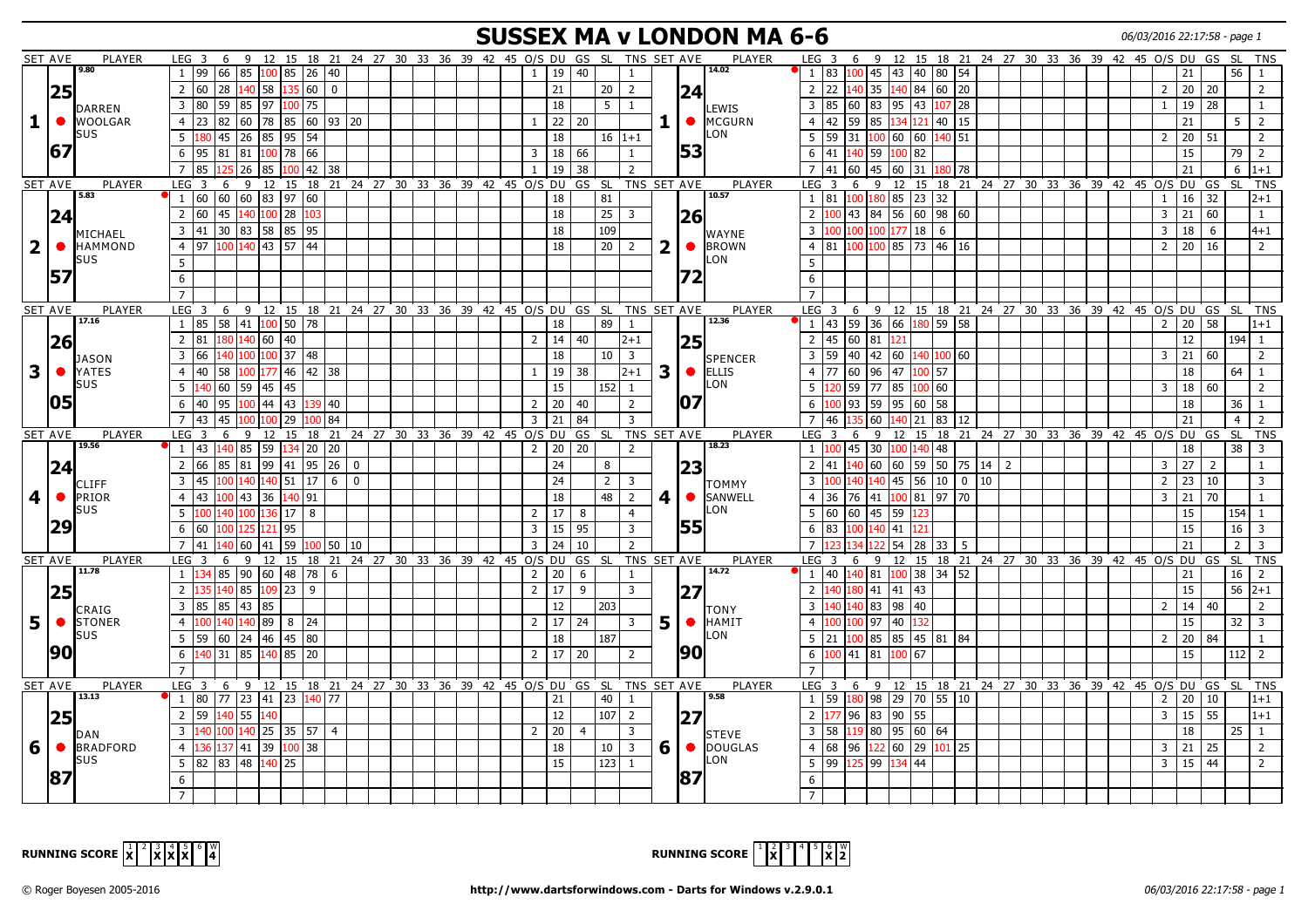## **SUSSEX MA v LONDON MA 6-6** 06/03/2016 22:17:58 - page 1

|                         | <b>SET AVE</b> | PLAYER                          | LEG <sub>3</sub>                        |                                                      |                     |                |                                            |  |                         |                 |                 | 6 9 12 15 18 21 24 27 30 33 36 39 42 45 O/S DU GS SL TNS SET AVE |                         |           | <b>PLAYER</b>                 | LEG <sub>3</sub><br>6                    |             |                          |              |                         |  |  |  | 9 12 15 18 21 24 27 30 33 36 39 42 45 0/S DU GS SL |                    |    |                | TNS                     |
|-------------------------|----------------|---------------------------------|-----------------------------------------|------------------------------------------------------|---------------------|----------------|--------------------------------------------|--|-------------------------|-----------------|-----------------|------------------------------------------------------------------|-------------------------|-----------|-------------------------------|------------------------------------------|-------------|--------------------------|--------------|-------------------------|--|--|--|----------------------------------------------------|--------------------|----|----------------|-------------------------|
|                         |                | 9.80                            | 99  66  85<br>$\mathbf{1}$              | 100 85                                               | $26 \mid 40$        |                |                                            |  | $\overline{1}$          | 19              | 40              | -1                                                               |                         |           | 14.02                         | 83<br>$\mathbf{1}$                       | $100$ 45 43 |                          |              | $40 \ 80 \ 54$          |  |  |  |                                                    | 21                 |    | 56             | $\overline{1}$          |
|                         | 25             |                                 | 60 28 140 58 135 60<br>$\overline{2}$   |                                                      |                     | $\overline{0}$ |                                            |  |                         | 21              | 20 <sup>1</sup> | $\overline{2}$                                                   |                         |           |                               | 2 22 140 35 140 84 60 20                 |             |                          |              |                         |  |  |  | $\overline{2}$                                     | 20 20              |    |                | 2                       |
|                         |                |                                 | $\overline{3}$<br> 80  59  85           | $197$ $100$                                          | 75                  |                |                                            |  |                         | 18              | 5 <sup>1</sup>  | 1                                                                |                         | 24        |                               | 85<br>60<br>$\overline{3}$               |             |                          |              | 83 95 43 107 28         |  |  |  | $\mathbf{1}$                                       | 19                 | 28 |                | 1                       |
|                         | $\bullet$      | <b>DARREN</b><br><b>WOOLGAR</b> | 82 60<br>$\overline{4}$<br>23           |                                                      | 78 85 60 93 20      |                |                                            |  | 1                       | 22              | 20              |                                                                  |                         |           | LEWIS<br>$\bullet$ MCGURN     | 42<br>59<br>$\overline{4}$               | 85          |                          |              | $134$ 121 40 15         |  |  |  |                                                    | 21                 |    | 5              | $\overline{2}$          |
| 1                       |                | SUS                             |                                         |                                                      |                     |                |                                            |  |                         |                 |                 |                                                                  |                         |           | LON                           |                                          |             |                          |              |                         |  |  |  |                                                    |                    |    |                |                         |
|                         | 167            |                                 | 45 26<br>5<br>180                       | $85 \,   95$                                         | 54                  |                |                                            |  |                         | 18              |                 | $16 1+1$                                                         |                         |           |                               | 59<br>5                                  |             |                          |              | 31 100 60 60 140 51     |  |  |  | $\overline{2}$                                     | 20                 | 51 |                | 2                       |
|                         |                |                                 | 6<br>95<br>81 81                        | 100                                                  | 78<br>66            |                |                                            |  | $\overline{\mathbf{3}}$ | 18              | 66              | $\mathbf{1}$                                                     |                         | 153       |                               | 41<br>6                                  | 40 59       | 100                      | 82           |                         |  |  |  |                                                    | 15                 |    | 79 2           |                         |
|                         |                |                                 | 85<br>25 26                             | 85                                                   | $42 \mid 38$<br>00  |                |                                            |  |                         | 19              | 38              | $\overline{2}$                                                   |                         |           |                               | 41<br>60                                 | 45          | 60                       | 31           | 180   78                |  |  |  |                                                    | 21                 |    | 6              | $ 1+1 $                 |
|                         | SET AVE        | <b>PLAYER</b>                   | $LEG$ 3<br>6                            | 9 12 15 18 21 24 27 30 33 36 39 42 45 0/S DU GS SL   |                     |                |                                            |  |                         |                 |                 | TNS SET AVE                                                      |                         |           | <b>PLAYER</b>                 | $LEG$ 3<br>6                             |             |                          |              |                         |  |  |  | 9 12 15 18 21 24 27 30 33 36 39 42 45 O/S DU GS    |                    |    | <b>SL</b>      | <b>TNS</b>              |
|                         |                | 5.83                            | 60  60  60  83  97<br>$\vert$ 1         |                                                      | 60                  |                |                                            |  |                         | 18              | 81              |                                                                  |                         |           | 10.57                         | 81<br><sup>1</sup>                       | 100 180 85  |                          | $23 \mid 32$ |                         |  |  |  | $\mathbf{1}$                                       | $16$ 32            |    |                | $ 2+1 $                 |
|                         | 24             |                                 | $\overline{2}$<br>l 60<br>45            | $100$ 28<br>140                                      | 103                 |                |                                            |  |                         | 18              | 25              | $\overline{3}$                                                   |                         | 26        |                               | $\overline{2}$<br>43                     | 84 56       |                          |              | 60 98 60                |  |  |  | $\overline{3}$                                     | 21                 | 60 |                | $\mathbf{1}$            |
|                         |                | MICHAEL                         | 3 41 30 83 58 85 95                     |                                                      |                     |                |                                            |  |                         | 18              | 109             |                                                                  |                         |           | <b>WAYNE</b>                  | $\overline{3}$                           |             | $100\,100\,177\,18$ 6    |              |                         |  |  |  | $\overline{3}$                                     | 18 6               |    |                | $ 4+1 $                 |
| $\overline{2}$          | $\bullet$      | <b>HAMMOND</b>                  | $\overline{4}$<br>97                    | 100 140 43 57 44                                     |                     |                |                                            |  |                         | 18              |                 | $20 \mid 2$                                                      | $\overline{\mathbf{2}}$ |           | $\bullet$ <b>BROWN</b>        | 4 81                                     |             |                          |              | $100\,100\,85$ 73 46 16 |  |  |  | $\overline{2}$                                     | $20 \mid 16$       |    |                | 2                       |
|                         |                | SUS                             | 5                                       |                                                      |                     |                |                                            |  |                         |                 |                 |                                                                  |                         |           | LON                           | 5                                        |             |                          |              |                         |  |  |  |                                                    |                    |    |                |                         |
|                         | 57             |                                 | $\boldsymbol{6}$                        |                                                      |                     |                |                                            |  |                         |                 |                 |                                                                  |                         | 172       |                               | 6                                        |             |                          |              |                         |  |  |  |                                                    |                    |    |                |                         |
|                         |                |                                 |                                         |                                                      |                     |                |                                            |  |                         |                 |                 |                                                                  |                         |           |                               |                                          |             |                          |              |                         |  |  |  |                                                    |                    |    |                |                         |
|                         | SET AVE        | PLAYER                          | LEG <sub>3</sub>                        |                                                      |                     |                |                                            |  |                         |                 |                 | 6 9 12 15 18 21 24 27 30 33 36 39 42 45 O/S DU GS SL TNS SET AVE |                         |           | PLAYER                        | LEG <sub>3</sub>                         |             |                          |              |                         |  |  |  | 6 9 12 15 18 21 24 27 30 33 36 39 42 45 O/S DU GS  |                    |    | SL TNS         |                         |
|                         |                | 17.16                           | 85 58 41 100 50 78<br>$\mathbf{1}$      |                                                      |                     |                |                                            |  |                         | 18              | 89              | 1                                                                |                         |           | 12.36                         | $11$ 43 59 36 66 180 59 58               |             |                          |              |                         |  |  |  | 2                                                  | 20 58              |    |                | $ 1+1 $                 |
|                         |                |                                 | $\overline{2}$<br>81                    | 180 140 60 40                                        |                     |                |                                            |  | $\overline{2}$          | 14              | 40              | $2 + 1$                                                          |                         |           |                               | 45<br>$\overline{2}$                     | 60 81 121   |                          |              |                         |  |  |  |                                                    | 12                 |    | $194$ 1        |                         |
|                         | 26             |                                 |                                         | 37                                                   |                     |                |                                            |  |                         |                 |                 |                                                                  |                         | 25        |                               | 59                                       |             |                          |              |                         |  |  |  |                                                    |                    |    |                |                         |
|                         |                | JASON                           | 3<br>66<br>40 100                       | 100                                                  | 48                  |                |                                            |  |                         | 18              | 10              | $\overline{\mathbf{3}}$                                          |                         |           | SPENCER                       | 40<br>$\overline{3}$                     |             | 42   60   140   100   60 |              |                         |  |  |  | $\overline{3}$                                     | 21                 | 60 |                | 2                       |
| $\mathbf{3}$            | $\bullet$      | YATES                           | 40 58 100<br>4                          | 177 46                                               | $42 \mid 38$        |                |                                            |  | 1                       | 19              | 38              | $2 + 1$                                                          | $\mathbf{3}$            |           | $\bullet$ ELLIS               | 77<br>60<br>$\overline{4}$               | 96          | 47                       | $100$ 57     |                         |  |  |  |                                                    | 18                 |    | 64             | $\overline{1}$          |
|                         |                | SUS                             | 5<br>60 59<br>140                       | 145<br>l 45 l                                        |                     |                |                                            |  |                         | 15              | 152 l           | $\mathbf{1}$                                                     |                         |           | LON                           | 59<br>5<br>120                           | 177         | 85                       | 100 60       |                         |  |  |  | $\overline{3}$                                     | 18                 | 60 |                | 2                       |
|                         | 105            |                                 | 40 95 100 44 43 139 40<br>6             |                                                      |                     |                |                                            |  | $\overline{2}$          | 20              | 40              | $\overline{2}$                                                   |                         | 107       |                               | $100$ 93 59 95 60 58<br>6                |             |                          |              |                         |  |  |  |                                                    | 18                 |    | $36$   1       |                         |
|                         |                |                                 | $\overline{7}$<br>  43<br>45            | 100<br>100                                           | 29<br>100           | 84             |                                            |  | $\overline{3}$          | 21              | 84              | $\overline{\mathbf{3}}$                                          |                         |           |                               | 46<br>$7^{\circ}$                        | 60          | 140                      | 21           | 83   12                 |  |  |  |                                                    | 21                 |    | $\overline{4}$ | $\overline{2}$          |
|                         |                | PLAYER                          | LEG <sup>1</sup><br>$\overline{3}$<br>6 | 12 15<br>9                                           |                     |                |                                            |  |                         |                 |                 | 18 21 24 27 30 33 36 39 42 45 0/S DU GS SL TNS SET AVE           |                         |           | <b>PLAYER</b>                 | LEG <sub>3</sub><br>6                    | 9           | <sup>12</sup>            |              |                         |  |  |  | 15 18 21 24 27 30 33 36 39 42 45 0/S DU GS         |                    |    | <b>SL</b>      | <b>TNS</b>              |
|                         | SET AVE        |                                 |                                         |                                                      |                     |                |                                            |  |                         |                 |                 |                                                                  |                         |           |                               |                                          |             |                          |              |                         |  |  |  |                                                    |                    |    |                |                         |
|                         |                | 19.56                           | 43<br>140 85<br>$\mathbf{1}$            |                                                      | 59 134 20 20        |                |                                            |  | $\overline{2}$          | 20              | 20              | 2                                                                |                         |           | 18.23                         | 45<br>$\mathbf{1}$                       | 30          | 100 140 48               |              |                         |  |  |  |                                                    | 18                 |    | $38$   3       |                         |
|                         |                |                                 | $\overline{2}$<br>66  <br>85 81         | 99 41                                                | $95 \mid 26 \mid 0$ |                |                                            |  |                         | 24              | 8               |                                                                  |                         |           |                               | 2<br>41                                  |             |                          |              | 140 60 60 59 50 75 14 2 |  |  |  | $\overline{3}$                                     | 27                 | 2  |                | -1                      |
|                         | 24             | CLIFF                           | l 45<br>3<br>00 140                     | 140 51                                               | 17 <sup>1</sup>     | $6 \mid 0$     |                                            |  |                         | 24              | 2               | 3                                                                |                         | 23        |                               | 3                                        | 40 140      | 45                       |              | 56 10 0 10              |  |  |  | $\overline{2}$                                     | $23 \mid 10$       |    |                | $\overline{3}$          |
|                         | $\bullet$      | <b>PRIOR</b>                    | $\overline{4}$<br>  43<br>$100$ 43      | 36 140                                               | 91                  |                |                                            |  |                         | 18              | 48              | 2                                                                | 4                       |           | TOMMY<br>SANWELL <sup>®</sup> | 36<br>$\overline{4}$                     | 76   41     |                          |              | 100 81 97 70            |  |  |  | $\overline{3}$                                     | $21 \overline{70}$ |    |                | $\mathbf{1}$            |
| $\overline{\mathbf{4}}$ |                | <b>SUS</b>                      | 40 100<br>100                           | 136                                                  | 17<br>8             |                |                                            |  |                         |                 | 8               |                                                                  |                         |           | LON                           | 5<br>60<br>60                            |             |                          |              |                         |  |  |  |                                                    | 15                 |    |                |                         |
|                         |                |                                 | 5                                       |                                                      |                     |                |                                            |  | $\overline{2}$          | 17              |                 | $\overline{4}$                                                   |                         |           |                               |                                          | 45 59       |                          |              |                         |  |  |  |                                                    |                    |    | $154$ 1        |                         |
|                         | 29             |                                 | 6<br>60                                 | 121 95<br>125                                        |                     |                |                                            |  | $\overline{3}$          | 15              | 95              | $\overline{3}$                                                   |                         | 55        |                               | 83<br>6                                  | 00 140 41   |                          |              |                         |  |  |  |                                                    | 15                 |    | 16             | 3                       |
|                         |                |                                 | $\overline{7}$<br>41<br>40 60           | 59<br>41                                             | 100                 | 50 10          |                                            |  | $\overline{\mathbf{3}}$ | 24              | 10              | $\overline{2}$                                                   |                         |           |                               |                                          |             | 54                       |              | $28 \mid 33 \mid 5$     |  |  |  |                                                    | 21                 |    | $\overline{2}$ | $\overline{\mathbf{3}}$ |
|                         | SET AVE        | <b>PLAYER</b><br>11.78          | LEG <sub>3</sub><br>6<br><sup>1</sup>   | 9<br>12                                              | 15                  |                | 18 21 24 27 30 33 36 39 42 45 0/S DU GS SL |  |                         |                 |                 | TNS SET AVE<br>$\mathbf{1}$                                      |                         |           | PLAYER<br>14.72               | LEG <sub>3</sub><br>6                    |             | 9 12 15                  |              |                         |  |  |  | 18 21 24 27 30 33 36 39 42 45 0/S DU GS            |                    |    | <b>SL</b>      | <b>TNS</b>              |
|                         |                |                                 | 134 85 90 60 48 78                      |                                                      |                     | 6              |                                            |  | $\overline{2}$          | 20              | 6               |                                                                  |                         |           |                               | $1   40   140   81   100   38   34   52$ |             |                          |              |                         |  |  |  |                                                    | 21                 |    | $16 \mid 2$    |                         |
|                         | 25             |                                 | 140 85<br>$\overline{2}$                | $109$ 23 9                                           |                     |                |                                            |  | $\overline{2}$          | $\overline{17}$ | 9               | $\overline{3}$                                                   |                         | 127       |                               | $\overline{2}$                           | $80$ 41 41  |                          | 43           |                         |  |  |  |                                                    | 15                 |    | $56 \mid 2+1$  |                         |
|                         |                | CRAIG                           | 85 85 43<br>$\overline{\mathbf{3}}$     | 85                                                   |                     |                |                                            |  |                         | 12              | 203             |                                                                  |                         |           | TONY                          | 140 140 83 98 1<br>$\mathbf{3}$          |             |                          | 40           |                         |  |  |  | 2                                                  | 14 <sup>1</sup>    | 40 |                | 2                       |
| 5                       | $\bullet$      | <b>STONER</b>                   | $\overline{4}$<br>40 140<br>100         | $\sqrt{89}$                                          | 8<br>24             |                |                                            |  | 2                       | 17              | 24              | $\overline{3}$                                                   | 5                       |           | $\bullet$ <b>HAMIT</b>        | $\overline{4}$<br>100                    | $100$ 97    | 140                      | 132          |                         |  |  |  |                                                    | 15                 |    | 32             | l 3                     |
|                         |                | SUS                             | 5<br>59  <br>60 24                      | 46                                                   | 45<br>80            |                |                                            |  |                         | 18              | 187             |                                                                  |                         |           | LON                           | 21<br>5                                  | $.00$ 85    | 85                       |              | 45   81   84            |  |  |  | $\overline{2}$                                     | 20                 | 84 |                | -1                      |
|                         | 90             |                                 | 140 31 85<br>6                          | 140 85                                               | 20                  |                |                                            |  | $\overline{2}$          | 17              | 20              | 2                                                                |                         | <b>90</b> |                               | 100 41 81 100<br>6                       |             |                          | 67           |                         |  |  |  |                                                    | 15                 |    | $112$ 2        |                         |
|                         |                |                                 |                                         |                                                      |                     |                |                                            |  |                         |                 |                 |                                                                  |                         |           |                               |                                          |             |                          |              |                         |  |  |  |                                                    |                    |    |                |                         |
|                         | SET AVE        | PLAYER                          | LEG <sub>3</sub>                        | 6 9 12 15 18 21 24 27 30 33 36 39 42 45 O/S DU GS SL |                     |                |                                            |  |                         |                 |                 | TNS SET AVE                                                      |                         |           | <b>PLAYER</b>                 | LEG <sub>3</sub><br>6                    |             |                          |              |                         |  |  |  | 9 12 15 18 21 24 27 30 33 36 39 42 45 0/S DU GS    |                    |    | <b>SL</b>      | <b>TNS</b>              |
|                         |                | 13.13                           | 1 80 77 23 41 23 140 77                 |                                                      |                     |                |                                            |  |                         | 21              | 40 l            | 1                                                                |                         |           | 9.58                          | 1 59 180 98 29 70 55 10                  |             |                          |              |                         |  |  |  | $\overline{2}$                                     | $20 \mid 10$       |    |                | $ 1+1 $                 |
|                         |                |                                 | 59<br>$140$ 55<br>$\overline{2}$        | 140                                                  |                     |                |                                            |  |                         | 12              | 107             | $\overline{2}$                                                   |                         | 27        |                               | 96<br>$\overline{2}$                     |             | 83 90 55                 |              |                         |  |  |  | $\overline{3}$                                     | $15$ 55            |    |                | $1+1$                   |
|                         | 25             | DAN                             | $\overline{3}$<br>140                   | 100 140 25 35 57 4                                   |                     |                |                                            |  | $\overline{2}$          | 20              | $\overline{4}$  | $\overline{3}$                                                   |                         |           | <b>I</b> STEVE                | 58<br>3                                  |             | 119 80 95 60 64          |              |                         |  |  |  |                                                    | 18                 |    | $25 \mid 1$    |                         |
| 6                       | $\bullet$      | <b>BRADFORD</b>                 | $\overline{4}$<br>136                   | 137 41 39 100 38                                     |                     |                |                                            |  |                         | 18              |                 | $10 \mid 3$                                                      |                         |           | 6   DOUGLAS                   | 4 68 96 122 60 29 101 25                 |             |                          |              |                         |  |  |  | $\overline{3}$                                     | $21 \mid 25$       |    |                | $\overline{2}$          |
|                         |                | <b>SUS</b>                      | 5<br>82 83 48                           | 140 25                                               |                     |                |                                            |  |                         | 15              | 123             | $\overline{1}$                                                   |                         |           | LON                           | $5 \mid 99$                              |             | 125 99 134 44            |              |                         |  |  |  | $\overline{3}$                                     | $15 \mid 44$       |    |                | 2                       |
|                         | 187            |                                 |                                         |                                                      |                     |                |                                            |  |                         |                 |                 |                                                                  |                         | <b>87</b> |                               | 6                                        |             |                          |              |                         |  |  |  |                                                    |                    |    |                |                         |
|                         |                |                                 | 6                                       |                                                      |                     |                |                                            |  |                         |                 |                 |                                                                  |                         |           |                               |                                          |             |                          |              |                         |  |  |  |                                                    |                    |    |                |                         |



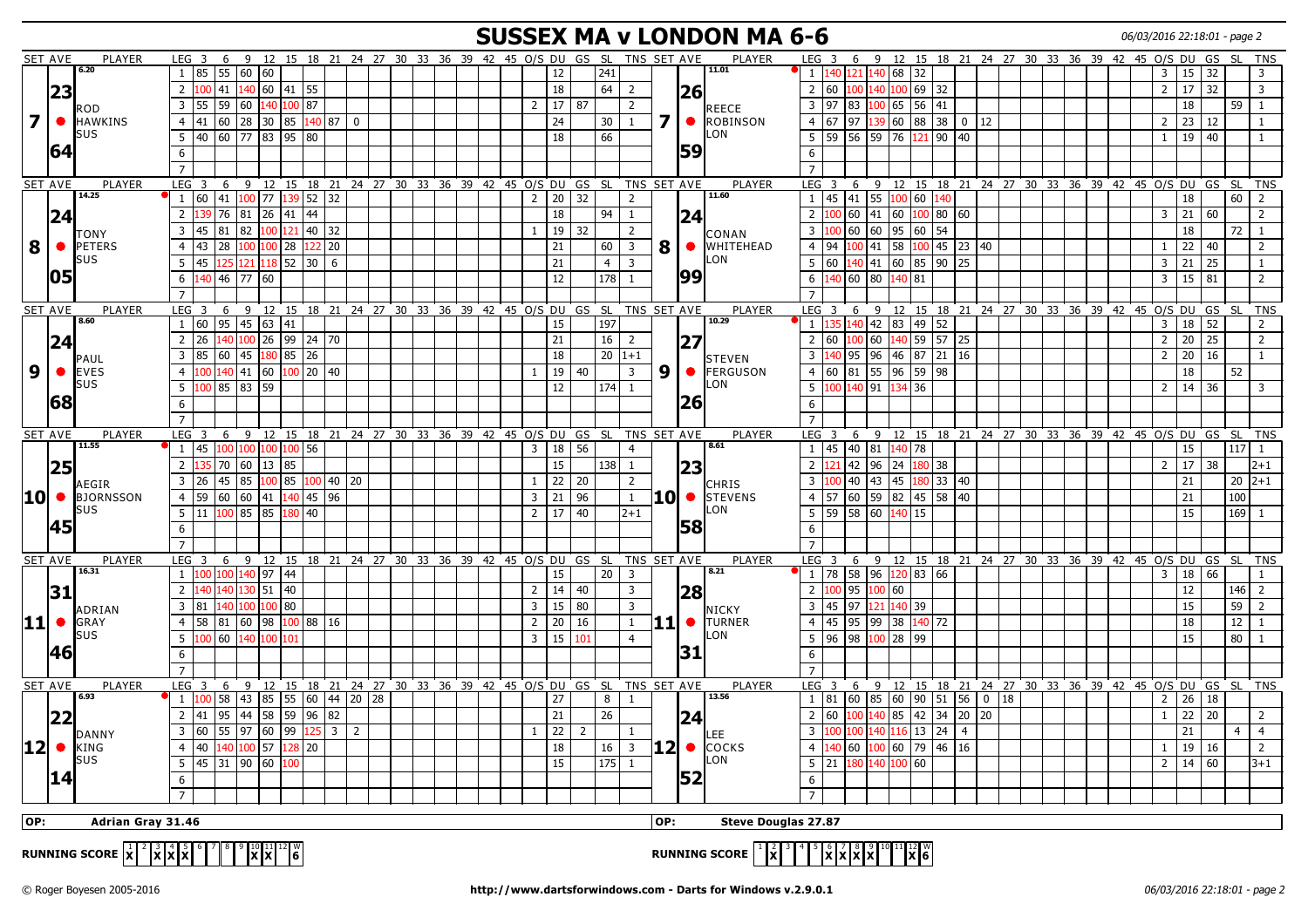#### **SUSSEX MA v LONDON MA 6-6** 06/03/2016 22:18:01 - page 2

|                  | <b>SET AVE</b> | PLAYER                  | LEG <sub>3</sub>                                                       |                  | 6 9 12 15 18 21 24 27 30 33 36 39 42 45 O/S DU GS SL TNS SET AVE                       |              |             |  |                                                  |  |                |                     |                |                 |                |             |           | <b>PLAYER</b>               | LEG <sub>3</sub>        |               | 6          |                                                                                 |              |                |  |  | 9 12 15 18 21 24 27 30 33 36 39 42 45 O/S DU GS SL   |                |              |    |                  | <b>TNS</b>              |
|------------------|----------------|-------------------------|------------------------------------------------------------------------|------------------|----------------------------------------------------------------------------------------|--------------|-------------|--|--------------------------------------------------|--|----------------|---------------------|----------------|-----------------|----------------|-------------|-----------|-----------------------------|-------------------------|---------------|------------|---------------------------------------------------------------------------------|--------------|----------------|--|--|------------------------------------------------------|----------------|--------------|----|------------------|-------------------------|
|                  |                | 6.20                    | $1 \vert 85 \vert 55 \vert 60 \vert 60$                                |                  |                                                                                        |              |             |  |                                                  |  |                | 12                  |                | 241             |                |             |           | 11.01                       | $1\phantom{0}$          | 140 121       |            | 140 68 32                                                                       |              |                |  |  |                                                      | 3              | 15           | 32 |                  | $\overline{3}$          |
|                  | 23             |                         | $100$ 41 $140$ 60 41 55<br>$\overline{2}$                              |                  |                                                                                        |              |             |  |                                                  |  |                | 18                  |                | 64              | $\overline{2}$ |             | 26        |                             |                         | 2 60          | 100        | 140 100 69 32                                                                   |              |                |  |  |                                                      | $\overline{2}$ | $17\,$       | 32 |                  | $\overline{\mathbf{3}}$ |
|                  |                | <b>ROD</b>              | $\overline{3}$<br>55 59 60                                             |                  | 140 100 87                                                                             |              |             |  |                                                  |  |                | 2   17   87         |                |                 | $\overline{2}$ |             |           | REECE                       | $\overline{3}$          | 97            | 83         | $100$ 65 56 41                                                                  |              |                |  |  |                                                      |                | 18           |    | 59               | $\mathbf{1}$            |
| 7 <sup>1</sup>   | $\bullet$      | <b>HAWKINS</b>          | $\overline{4}$<br>41                                                   |                  | 60 28 30 85 140 87 0                                                                   |              |             |  |                                                  |  |                | 24                  |                | 30 <sup>°</sup> | $\mathbf{1}$   | <b>7</b>    | $\bullet$ | ROBINSON                    |                         | 4 67          | 97         | 139 60 88 38 0 12                                                               |              |                |  |  |                                                      | $\overline{2}$ | $23 \mid 12$ |    |                  | 1                       |
|                  |                | SUS                     | 40 60 77 83 95 80<br>5                                                 |                  |                                                                                        |              |             |  |                                                  |  |                | 18                  |                | 66              |                |             |           | LON                         | 5                       | 59            |            | $\begin{bmatrix} 56 & 59 & 76 & 121 & 90 & 40 \end{bmatrix}$                    |              |                |  |  |                                                      | $\mathbf{1}$   | 19 40        |    |                  | -1                      |
|                  | 64             |                         | 6                                                                      |                  |                                                                                        |              |             |  |                                                  |  |                |                     |                |                 |                |             | 59        |                             | 6                       |               |            |                                                                                 |              |                |  |  |                                                      |                |              |    |                  |                         |
|                  |                |                         |                                                                        |                  |                                                                                        |              |             |  |                                                  |  |                |                     |                |                 |                |             |           |                             | $\overline{7}$          |               |            |                                                                                 |              |                |  |  |                                                      |                |              |    |                  |                         |
|                  |                | PLAYER                  | LEG <sup>3</sup><br>6                                                  |                  |                                                                                        |              |             |  |                                                  |  |                |                     |                |                 |                |             |           | <b>PLAYER</b>               | LEG <sup>3</sup>        |               |            | 9                                                                               |              |                |  |  |                                                      |                |              |    |                  |                         |
|                  | <b>SET AVE</b> | 14.25                   | 1 60 41 100 77                                                         |                  | 9 12 15 18 21 24 27 30 33 36 39 42 45 O/S DU GS SL TNS SET AVE<br>139                  | $52 \mid 32$ |             |  |                                                  |  |                | $2 \mid 20 \mid 32$ |                |                 | 2              |             |           | 11.60                       |                         |               | 6          | 1   45   41   55   100   60   140                                               |              |                |  |  | 12 15 18 21 24 27 30 33 36 39 42 45 0/S DU GS SL TNS |                | 18           |    | 60               | 2                       |
|                  |                |                         | $\overline{2}$<br>76                                                   | 81<br>26         | 41                                                                                     | 44           |             |  |                                                  |  |                | 18                  |                |                 | <sup>1</sup>   |             |           |                             | $\overline{2}$          | 100           | 41<br>60   | 60                                                                              |              | $100$ 80 60    |  |  |                                                      | 3              | 21           | 60 |                  | 2                       |
|                  | 24             |                         |                                                                        |                  |                                                                                        |              |             |  |                                                  |  |                |                     |                | 94              |                |             | 24        |                             |                         |               |            |                                                                                 |              |                |  |  |                                                      |                |              |    |                  |                         |
|                  |                | <b>TONY</b>             | $\overline{\mathbf{3}}$<br>81<br>45                                    | 82               | 100                                                                                    | 121 40 32    |             |  |                                                  |  | $\mathbf{1}$   | 19                  | 32             |                 | $\overline{2}$ |             |           | CONAN                       | $\overline{\mathbf{3}}$ | LOO           | 60<br>60   |                                                                                 | 95 60 54     |                |  |  |                                                      |                | 18           |    | 72               | 1                       |
| 8                | $\bullet$      | <b>PETERS</b><br>SUS    | 28<br>$\overline{4}$<br>43                                             | 100              | $100$ 28                                                                               | 122 20       |             |  |                                                  |  |                | 21                  |                | 60              | $\overline{3}$ |             |           | 8   • WHITEHEAD<br>LON      | $\overline{4}$          | 94            | 41<br>100  | 58                                                                              |              | $100$ 45 23 40 |  |  |                                                      | $\mathbf{1}$   | 22           | 40 |                  | $\overline{2}$          |
|                  |                |                         | 5 <sup>2</sup><br>45                                                   | 121              | $118$ 52 30 6                                                                          |              |             |  |                                                  |  |                | 21                  |                | $\overline{4}$  | $\overline{3}$ |             | 99        |                             | $5\phantom{.0}$         | 60            | 140        | 41   60                                                                         |              | 85 90 25       |  |  |                                                      | $\overline{3}$ | 21           | 25 |                  | 1                       |
|                  | 105            |                         | 6<br>140                                                               | 46 77 60         |                                                                                        |              |             |  |                                                  |  |                | 12                  |                | 178             | $\mathbf{1}$   |             |           |                             | 6                       | 140   60      |            | 80 140 81                                                                       |              |                |  |  |                                                      | 3              | 15           | 81 |                  | $\overline{2}$          |
|                  |                |                         | $\overline{7}$                                                         |                  |                                                                                        |              |             |  |                                                  |  |                |                     |                |                 |                |             |           |                             | $\overline{7}$          |               |            |                                                                                 |              |                |  |  |                                                      |                |              |    |                  |                         |
|                  | SET AVE        | PLAYER<br>8.60          | LEG <sub>3</sub><br>6                                                  | 9<br>12          | 15                                                                                     | 18 21        |             |  | 24 27 30 33 36 39 42 45 0/S DU GS SL TNS SET AVE |  |                |                     |                |                 |                |             |           | PLAYER<br>10.29             | LEG <sub>3</sub>        |               | 6<br>-9    | 12                                                                              |              |                |  |  | 15 18 21 24 27 30 33 36 39 42 45 0/S                 |                | DU           | GS | <b>SL</b>        | <b>TNS</b>              |
|                  |                |                         | 1   60   95   45   63   41                                             |                  |                                                                                        |              |             |  |                                                  |  |                | 15                  |                | 197             |                |             |           |                             | $1\vert$                |               |            | 135 140 42 83 49 52                                                             |              |                |  |  |                                                      | $\overline{3}$ | 18           | 52 |                  | $\overline{2}$          |
|                  | 24             |                         | $\overline{2}$<br>26                                                   |                  | 100 26 99 24 70                                                                        |              |             |  |                                                  |  |                | 21                  |                | 16              | 2              |             | 27        |                             | 2 60                    |               | 60         |                                                                                 |              | 40 59 57 25    |  |  |                                                      | $\overline{2}$ | 20           | 25 |                  | 2                       |
|                  |                | PAUL                    | 85 60 45<br>3                                                          |                  | 180 85 26                                                                              |              |             |  |                                                  |  |                | 18                  |                |                 | $20 1+1$       |             |           | STEVEN                      | $\overline{3}$          | 140   95      |            | 96  46  87  21  16                                                              |              |                |  |  |                                                      | $\overline{2}$ | $20 \mid 16$ |    |                  | $\mathbf{1}$            |
| 9                | $\bullet$      | <b>EVES</b><br>SUS      | 100 140 41 60 100 20 40<br>$\overline{4}$                              |                  |                                                                                        |              |             |  |                                                  |  | $\mathbf{1}$   | 19                  | 40             |                 | 3              | 9           | $\bullet$ | FERGUSON<br>_ON             |                         |               |            | 4 60 81 55 96 59 98                                                             |              |                |  |  |                                                      |                | 18           |    | 52               |                         |
|                  |                |                         | 100 85 83 59<br>5                                                      |                  |                                                                                        |              |             |  |                                                  |  |                | 12                  |                | $174$ 1         |                |             |           |                             | 5                       |               |            | 100 140 91 134 36                                                               |              |                |  |  |                                                      | $\overline{2}$ | 14 36        |    |                  | $\overline{\mathbf{3}}$ |
|                  | 168            |                         | 6                                                                      |                  |                                                                                        |              |             |  |                                                  |  |                |                     |                |                 |                |             | 26        |                             | 6                       |               |            |                                                                                 |              |                |  |  |                                                      |                |              |    |                  |                         |
|                  |                |                         | $\overline{7}$                                                         |                  |                                                                                        |              |             |  |                                                  |  |                |                     |                |                 |                |             |           |                             | $\overline{7}$          |               |            |                                                                                 |              |                |  |  |                                                      |                |              |    |                  |                         |
| SET AVE          |                | PLAYER<br>11.55         | LEG <sub>3</sub><br>1   45                                             |                  | 6 9 12 15 18 21 24 27 30 33 36 39 42 45 O/S DU GS SL TNS SET AVE<br>100 100 100 100 56 |              |             |  |                                                  |  |                |                     | 56             |                 | $\overline{4}$ |             |           | PLAYER<br>8.61              | LEG <sub>3</sub>        | 1 45          |            |                                                                                 |              |                |  |  | 6 9 12 15 18 21 24 27 30 33 36 39 42 45 0/S DU GS    |                | 15           |    | <b>SL</b><br>117 | <b>TNS</b><br>$\vert$ 1 |
|                  |                |                         | $\overline{2}$<br>70                                                   |                  |                                                                                        |              |             |  |                                                  |  |                | $3 \mid 18$         |                |                 |                |             |           |                             |                         | 121           | 42         | 40 81 140 78                                                                    |              |                |  |  |                                                      |                |              |    |                  |                         |
|                  | <b>25</b>      |                         |                                                                        | 60               | 13 85                                                                                  |              |             |  |                                                  |  |                | 15                  |                | 138             | <sup>1</sup>   |             | 23        |                             | $\overline{2}$          |               | 96         | 24                                                                              | 180 38       |                |  |  |                                                      | $\overline{2}$ | 17           | 38 |                  | $2 + 1$                 |
|                  |                | AEGIR                   | 3<br>45<br>  26                                                        | 85               | 100 85                                                                                 | $100$ 40 20  |             |  |                                                  |  |                | $1 \mid 22$         | 20             |                 | $\overline{2}$ |             |           | CHRIS                       | $\overline{3}$          |               | 40<br>  43 |                                                                                 |              | 45 180 33 40   |  |  |                                                      |                | 21           |    | $20 2+1$         |                         |
| $ 10  \bullet$   |                | <b>BJORNSSON</b><br>SUS | $\overline{4}$<br>59                                                   | 60  60  41       | 140                                                                                    | $45 \ 96$    |             |  |                                                  |  |                | $3 \mid 21$         | 96             |                 | $\mathbf{1}$   | <b>10 •</b> |           | STEVENS<br>LON              |                         | 4 57          |            | 60  59  82                                                                      |              | $45 \ 58 \ 40$ |  |  |                                                      |                | 21           |    | 100              |                         |
|                  |                |                         | 5<br>$11 \overline{100} 85$ 85                                         |                  | 80                                                                                     | 40           |             |  |                                                  |  |                | $2 \mid 17$         | 40             |                 | $2 + 1$        |             | 58        |                             |                         | 5 59 58       |            | 60   <br>40                                                                     | 15           |                |  |  |                                                      |                | 15           |    | 169              | $\overline{1}$          |
|                  | 45             |                         | 6                                                                      |                  |                                                                                        |              |             |  |                                                  |  |                |                     |                |                 |                |             |           |                             | 6                       |               |            |                                                                                 |              |                |  |  |                                                      |                |              |    |                  |                         |
|                  |                |                         | $\overline{7}$                                                         |                  |                                                                                        |              |             |  |                                                  |  |                |                     |                |                 |                |             |           |                             | $\overline{7}$          |               |            |                                                                                 |              |                |  |  |                                                      |                |              |    |                  |                         |
| SET AVE          |                | <b>PLAYER</b><br>16.31  | $LEG$ 3<br>100 100 140 97 44<br>$\mathbf{1}$                           |                  | 6 9 12 15 18 21 24 27 30 33 36 39 42 45 O/S DU GS SL TNS SET AVE                       |              |             |  |                                                  |  |                | 15                  |                | $20 \mid 3$     |                |             |           | PLAYER<br>8.21              | LEG <sub>3</sub>        | 1 78          |            |                                                                                 |              |                |  |  | 6 9 12 15 18 21 24 27 30 33 36 39 42 45 O/S DU GS    | 3              |              | 66 | SL TNS           | $\mathbf{1}$            |
|                  |                |                         | $\overline{2}$<br>140 140 130 51 40                                    |                  |                                                                                        |              |             |  |                                                  |  |                | $2 \mid 14 \mid$    | 40             |                 | 3              |             |           |                             | 2 <sup>1</sup>          | 100 95        |            | 58 96 120 83 66<br>100 60                                                       |              |                |  |  |                                                      |                | 18<br>12     |    | 146              | $\overline{2}$          |
|                  | 31             |                         | $\overline{3}$<br>81                                                   | 140 100 100   80 |                                                                                        |              |             |  |                                                  |  | $\overline{3}$ | 15                  | 80             |                 | 3              |             | 28        |                             | $\overline{3}$          | 45            | 97         | 121 140 39                                                                      |              |                |  |  |                                                      |                | 15           |    | 59               | 2                       |
|                  |                | ADRIAN                  | 58 81 60 98 100 88 16                                                  |                  |                                                                                        |              |             |  |                                                  |  |                | 2 <sup>1</sup>      |                |                 |                | l1 1 I      |           | NICKY                       |                         |               |            |                                                                                 |              |                |  |  |                                                      |                |              |    |                  |                         |
| $ 11 $ $\bullet$ |                | GRAY<br><b>SUS</b>      | $\overline{4}$                                                         |                  |                                                                                        |              |             |  |                                                  |  |                | 20                  | 16             |                 | $\mathbf{1}$   |             | $\bullet$ | <b>TURNER</b><br><b>LON</b> |                         |               |            | 4 45 95 99 38 140 72                                                            |              |                |  |  |                                                      |                | 18           |    | 12               | $\mathbf{1}$            |
|                  |                |                         | 5<br>100 60 140 100 101                                                |                  |                                                                                        |              |             |  |                                                  |  | $\overline{3}$ | 15                  | 101            |                 | $\overline{4}$ |             | 31        |                             |                         | $5 \ 96 \ 98$ |            | 100 28 99                                                                       |              |                |  |  |                                                      |                | 15           |    | 80               | $\mathbf{1}$            |
|                  | <b>46</b>      |                         | 6                                                                      |                  |                                                                                        |              |             |  |                                                  |  |                |                     |                |                 |                |             |           |                             | 6                       |               |            |                                                                                 |              |                |  |  |                                                      |                |              |    |                  |                         |
|                  |                |                         | $\overline{7}$                                                         |                  |                                                                                        |              |             |  |                                                  |  |                |                     |                |                 |                |             |           |                             |                         |               |            |                                                                                 |              |                |  |  |                                                      |                |              |    |                  |                         |
| SET AVE          |                | PLAYER<br>6.93          | LEG <sub>3</sub><br>6<br>$100$ 58 43 85 55 60 44 20 28<br>$\mathbf{1}$ | 9                | 12 15 18 21 24 27 30 33 36 39 42 45 O/S DU GS SL TNS SET AVE                           |              |             |  |                                                  |  |                | 27                  |                | 8 <sup>1</sup>  | 1              |             |           | <b>PLAYER</b><br>13.56      | LEG <sub>3</sub>        |               | 6          | 9<br>$1 \mid 81 \mid 60 \mid 85 \mid 60 \mid 90 \mid 51 \mid 56 \mid 0 \mid 18$ |              |                |  |  | 12 15 18 21 24 27 30 33 36 39 42 45 0/S DU GS        | $\overline{2}$ | 26           | 18 | SL TNS           |                         |
|                  |                |                         | 95<br>$\overline{2}$<br>41                                             |                  | $ 44 $ 58 59 96 82                                                                     |              |             |  |                                                  |  |                | 21                  |                | 26              |                |             |           |                             | 2 60                    |               | 100        | 140 85 42 34 20 20                                                              |              |                |  |  |                                                      | $\mathbf{1}$   | 22           | 20 |                  | 2                       |
|                  | 22             |                         | 60   55   97   60   99<br>$\overline{3}$                               |                  |                                                                                        |              |             |  |                                                  |  |                | 22                  | $\overline{2}$ |                 |                |             | 24        |                             | $\overline{3}$          |               |            | 116                                                                             | $13 \mid 24$ | $\overline{4}$ |  |  |                                                      |                | 21           |    | $\overline{4}$   | $\overline{4}$          |
|                  |                | <b>DANNY</b>            |                                                                        |                  |                                                                                        |              | 125   3   2 |  |                                                  |  | $\mathbf{1}$   |                     |                |                 | $\mathbf{1}$   |             |           | .EE                         |                         |               |            |                                                                                 |              |                |  |  |                                                      |                |              |    |                  |                         |
| $ 12  \bullet$   |                | <b>KING</b><br>sus      | $\overline{4}$<br>40                                                   | 140 100 57       | 128                                                                                    | 20           |             |  |                                                  |  |                | 18                  |                | 16              | $\overline{3}$ | 12  ●       |           | <b>COCKS</b><br>LON.        | $\overline{4}$          | 140 60        |            | 60<br>100                                                                       |              | 79   46   16   |  |  |                                                      | 1              | 19           | 16 |                  | 2                       |
|                  |                |                         | 5<br>45 31 90 60                                                       |                  | 100                                                                                    |              |             |  |                                                  |  |                | 15                  |                | $\boxed{175}$   | $\overline{1}$ |             |           |                             | 5                       | 21            | 180        | 100 60<br>140                                                                   |              |                |  |  |                                                      | $\overline{2}$ | $14 \mid 60$ |    |                  | $3 + 1$                 |
|                  | 14             |                         | 6                                                                      |                  |                                                                                        |              |             |  |                                                  |  |                |                     |                |                 |                |             | 52        |                             | 6                       |               |            |                                                                                 |              |                |  |  |                                                      |                |              |    |                  |                         |
|                  |                |                         |                                                                        |                  |                                                                                        |              |             |  |                                                  |  |                |                     |                |                 |                |             |           |                             | $\overline{7}$          |               |            |                                                                                 |              |                |  |  |                                                      |                |              |    |                  |                         |
| OP:              |                | Adrian Gray 31.46       |                                                                        |                  |                                                                                        |              |             |  |                                                  |  |                |                     |                |                 |                | lop:        |           | <b>Steve Douglas 27.87</b>  |                         |               |            |                                                                                 |              |                |  |  |                                                      |                |              |    |                  |                         |
|                  |                |                         |                                                                        |                  |                                                                                        |              |             |  |                                                  |  |                |                     |                |                 |                |             |           |                             |                         |               |            |                                                                                 |              |                |  |  |                                                      |                |              |    |                  |                         |

**RUNNING SCORE**  $\vert x \vert^2 \vert x \vert x \vert^2 \vert x \vert^4 \vert^5 \vert^6 \vert^7 \vert^8 \vert^9 \vert x \vert^1 \vert^1 \vert^2 \vert^8 \vert^8$  $\begin{bmatrix} 0 \ 0 \end{bmatrix}$  **RUNNING SCORE**  $\begin{bmatrix} 1 \ 0 \ 0 \end{bmatrix} \begin{bmatrix} 2 \ 0 \ 0 \end{bmatrix} \begin{bmatrix} 3 \ 0 \ 0 \end{bmatrix} \begin{bmatrix} 3 \ 0 \ 0 \end{bmatrix} \begin{bmatrix} 0 \ 0 \ 0 \end{bmatrix} \begin{bmatrix} 0 \ 0 \ 0 \end{bmatrix} \begin{bmatrix} 1 \ 0 \ 0 \end{bmatrix} \begin{bmatrix} 1 \ 0 \ 0 \end{bmatrix}$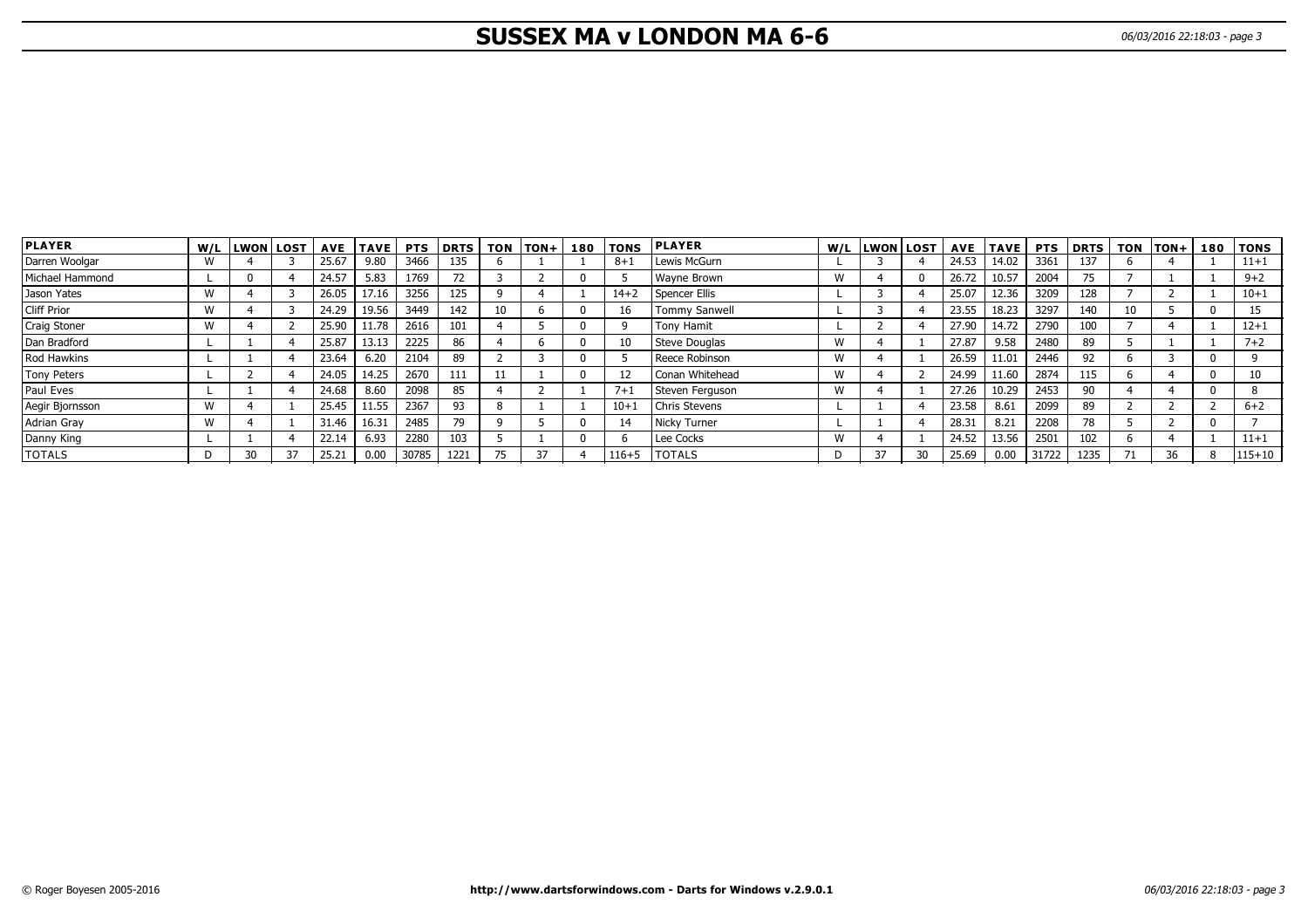# **SUSSEX MA v LONDON MA 6-6** 06/03/2016 22:18:03 - page 3

| <b>PLAYER</b>      |   | W/L LWON LOST |    | <b>AVE</b> | <b>TAVE</b> | <b>PTS</b> | <b>DRTS</b> |       | TON TON+ | 180 | <b>TONS</b> | <b>PLAYER</b>        | W/L | <b>LWON LOST</b> |    | AVE   | <b>TAVE I</b> | <b>PTS</b> | <b>DRTS</b> | TON | TON+ | 180 TONS   |
|--------------------|---|---------------|----|------------|-------------|------------|-------------|-------|----------|-----|-------------|----------------------|-----|------------------|----|-------|---------------|------------|-------------|-----|------|------------|
| Darren Woolgar     |   |               |    | 25.67      | 9.80        | 3466       | 135         |       |          |     | $8+$        | Lewis McGurn         |     |                  |    | 24.53 | 14.02         | 3361       | 137         |     |      | $11 + 1$   |
| Michael Hammond    |   |               |    | 24.57      | 5.83        | 1769       | 72          |       |          |     |             | Wavne Brown          | W   |                  |    | 26.72 | 10.57         | 2004       | 75          |     |      | $9 + 2$    |
| Jason Yates        | W |               |    | 26.05      | 17.16       | 3256       | 125         |       |          |     | $14 + 2$    | Spencer Ellis        |     |                  |    | 25.07 | 12.36         | 3209       | 128         |     |      | $10 + 1$   |
| <b>Cliff Prior</b> | M |               |    | 24.29      | 19.56       | 3449       | 142         |       |          |     | 16          | Tommy Sanwell        |     |                  |    | 23.55 | 18.23         | 3297       | 140         | 10  |      |            |
| Craig Stoner       | M |               |    | 25.90      | 11.78       | 2616       | 101         |       |          |     |             | Tony Hamit           |     |                  |    | 27.90 | 14.72         | 2790       | 100         |     |      | $12 + 1$   |
| Dan Bradford       |   |               |    | 25.87      | 13.13       | 2225       | 86          |       |          |     | 10          | Steve Douglas        | W   |                  |    | 27.87 | 9.58          | 2480       | 89          |     |      | $7 + 2$    |
| Rod Hawkins        |   |               |    | 23.64      | 6.20        | 2104       | 89          |       |          |     |             | Reece Robinson       | W   |                  |    | 26.59 | 11.01         | 2446       | 92          |     |      |            |
| <b>Tony Peters</b> |   |               |    | 24.05      | 14.25       | 2670       | 111         |       |          |     |             | Conan Whitehead      | W   |                  |    | 24.99 | 11.60         | 2874       | 115         |     |      |            |
| Paul Eves          |   |               |    | 24.68      | 8.60        | 2098       | 85          |       |          |     | $7 + 1$     | Steven Ferguson      | W   |                  |    | 27.26 | 10.29         | 2453       | 90          |     |      | 8          |
| Aegir Bjornsson    | W |               |    | 25.45      | 11.55       | 2367       | 93          | 8     |          |     | $10+1$      | <b>Chris Stevens</b> |     |                  |    | 23.58 | 8.61          | 2099       | 89          |     |      | $6 + 2$    |
| <b>Adrian Gray</b> | M |               |    | 31.46      | 16.31       | 2485       | 79          |       |          |     | 14          | Nicky Turner         |     |                  |    | 28.31 | 8.21          | 2208       | 78          |     |      |            |
| Danny King         |   |               |    | 22.14      | 6.93        | 2280       | 103         |       |          |     |             | Lee Cocks            | W   |                  |    | 24.52 | 13.56         | 2501       | 102         |     |      | $11 + 1$   |
| <b>TOTALS</b>      |   | จก            | 37 | 25.21      | 0.00        | 30785      | 1221        | $- -$ | 37       |     | $116 + 5$   | <b>ITOTALS</b>       | D   | 37               | 30 | 25.69 | 0.00          | 31722      | 1235        |     | 36   | $115 + 10$ |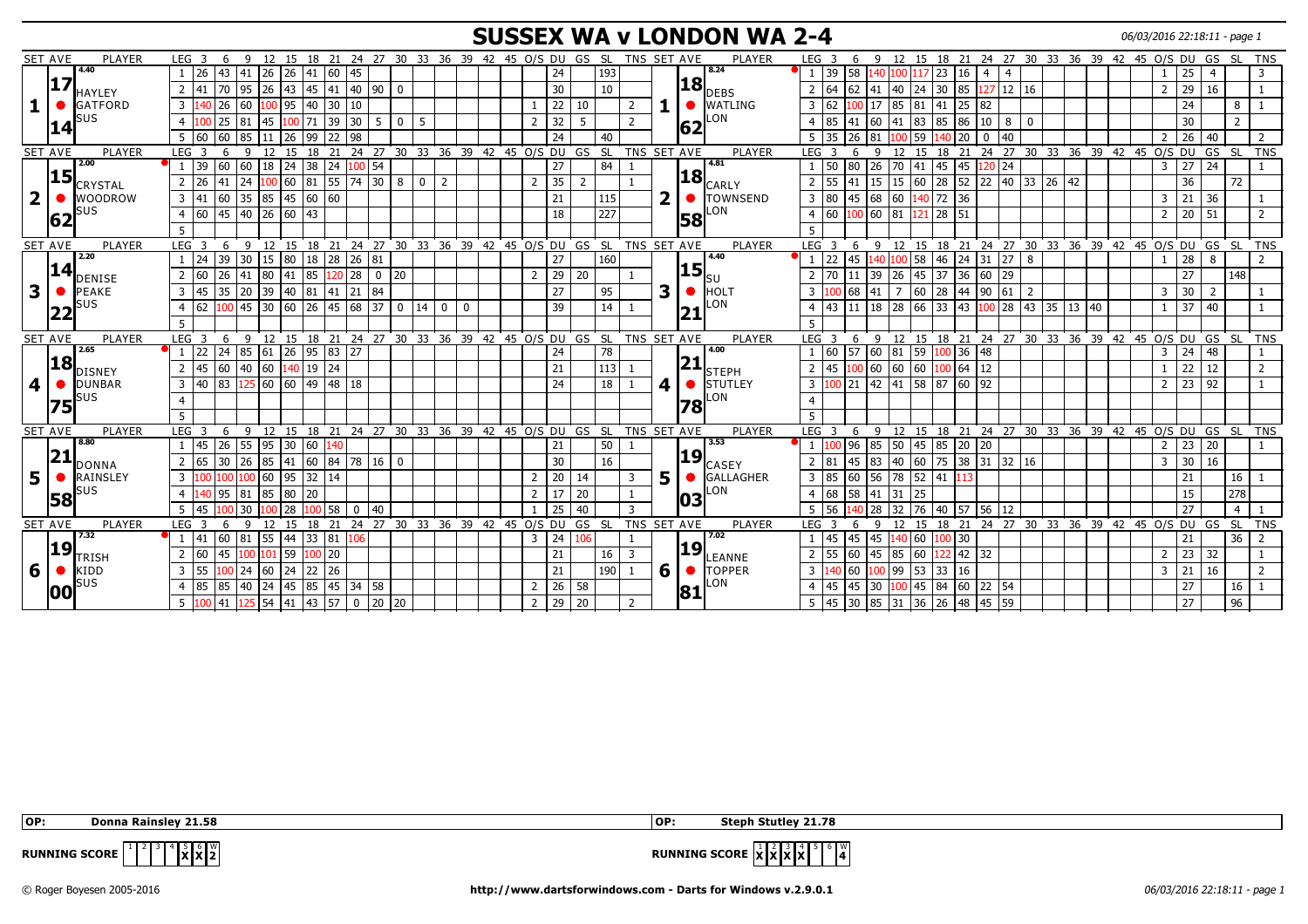# **SUSSEX WA v LONDON WA 2-4** 06/03/2016 22:18:11 - page 1

|                | <b>SET AVE</b> | PLAYER          | LEG <sub>3</sub><br>6                 | - 9                                                  |               |                     |                                                 |                     | 12 15 18 21 24 27 30 33 36 39 42 45 0/S DU GS SL |                |  |                      |    |                 | TNS SET AVE    |   |           | PLAYER                                   | LEG <sub>3</sub>                 | 6                                                                            | 9            |                                                                   |                         |          |              |                                                                             |          |  |                    |                      | 12 15 18 21 24 27 30 33 36 39 42 45 O/S DU GS SL   |                                                        | <b>TNS</b>     |
|----------------|----------------|-----------------|---------------------------------------|------------------------------------------------------|---------------|---------------------|-------------------------------------------------|---------------------|--------------------------------------------------|----------------|--|----------------------|----|-----------------|----------------|---|-----------|------------------------------------------|----------------------------------|------------------------------------------------------------------------------|--------------|-------------------------------------------------------------------|-------------------------|----------|--------------|-----------------------------------------------------------------------------|----------|--|--------------------|----------------------|----------------------------------------------------|--------------------------------------------------------|----------------|
|                |                | 4.40            | 26<br>43 41<br>$\mathbf{1}$           | 26                                                   | 26            | $ 41 $ 60   45      |                                                 |                     |                                                  |                |  |                      | 24 | 193             |                |   |           | 8.24                                     | 39                               | 58                                                                           | 140          | 00                                                                | $117$ 23                | 16       | 4   4        |                                                                             |          |  |                    |                      | 25<br>$\overline{4}$                               |                                                        | $\overline{3}$ |
|                | 17             | <b>HAYLEY</b>   | 70 95<br>2 41                         |                                                      |               | 26 43 45 41 40 90 0 |                                                 |                     |                                                  |                |  |                      | 30 | 10              |                |   |           | $\overline{\textbf{18}}_{\texttt{DEBS}}$ | $2 \quad 64$                     |                                                                              | 62 41 40     |                                                                   | $24 \mid 30 \mid 85$    |          |              | 127 12 16                                                                   |          |  |                    | 2 <sup>1</sup>       | 29 16                                              |                                                        |                |
|                |                | <b>GATFORD</b>  | $3 \vert 140 \vert 26 \vert 60$       |                                                      |               | $100$ 95 40 30 10   |                                                 |                     |                                                  |                |  |                      | 22 | 10              | $\overline{2}$ |   |           | $\bullet$ WATLING                        | 3 62                             |                                                                              |              | $\vert 100 \vert 17 \vert 85 \vert 81 \vert 41 \vert 25 \vert 82$ |                         |          |              |                                                                             |          |  |                    |                      | 24                                                 | 8                                                      |                |
|                |                | sus             | 25<br>$\overline{4}$                  | 81<br>45                                             | 100 71        | 39 30               | 5                                               | $\overline{0}$      | 5                                                |                |  | $\overline{2}$       | 32 | 5               | $\overline{z}$ |   | 162       | LON                                      | $\overline{4}$                   | 85<br>41                                                                     | 160          | 41                                                                | 83 85                   | 86       | $10$   8     | $\mathbf 0$                                                                 |          |  |                    |                      | 30                                                 | $\overline{2}$                                         |                |
|                | 14             |                 | 5<br>60<br>60                         | 85                                                   | 26<br>99      | 22                  | 98                                              |                     |                                                  |                |  |                      | 24 | 40              |                |   |           |                                          |                                  | 35<br>26                                                                     | l 81         | 59                                                                |                         | 20       | $\mathbf{0}$ | 40                                                                          |          |  |                    |                      | 26<br>40                                           |                                                        |                |
|                | <b>SET AVE</b> | PLAYER          | LEG<br>$\epsilon$                     | $\mathsf{Q}$                                         | 15<br>18      | 21                  | 24<br>27                                        |                     | 30 33 36 39 42 45 O/S DU GS                      |                |  |                      |    | - SL            | TNS SET AVE    |   |           | PLAYER                                   | LEG                              |                                                                              | q            | 15                                                                | 18                      | 21       | 24           | $\degree$ 27 $\degree$<br>30 <sup>°</sup>                                   | 33       |  | 36 39 42 45 O/S DU |                      | GS                                                 | - SL                                                   | TNS            |
|                |                | 2.00            | 60 60<br>39                           |                                                      | 18 24 38 24   |                     | 100<br>54                                       |                     |                                                  |                |  |                      | 27 | 84              |                |   |           | 4.81                                     | $1 \overline{\smash{\big)}\ 50}$ | $ 80\rangle$                                                                 | $ 26\rangle$ | 70                                                                | 41 45                   | 45       | $120$ 24     |                                                                             |          |  |                    | $\overline{3}$<br>27 | 24                                                 |                                                        |                |
|                | 15             | CRYSTAL         | 26<br>$\overline{2}$<br>41            | 24                                                   |               | $100$ 60 81 55 74   |                                                 | $\overline{30}$   8 | l 0                                              | $\overline{2}$ |  | 35<br>$\overline{2}$ |    | 2               |                |   | 18        | CARLY                                    | $2 \mid 55$                      | 41                                                                           | 15           | 115                                                               | 60 28 52 22 40          |          |              |                                                                             | 33 26 42 |  |                    |                      | 36                                                 | 72                                                     |                |
| $\overline{2}$ |                | <b>WOODROW</b>  | 60<br>3   41                          | 35<br>85                                             | 45 60 60      |                     |                                                 |                     |                                                  |                |  |                      | 21 | 115             |                | ר |           | <b>C TOWNSEND</b>                        | 80<br>3                          | 145                                                                          | 68           | 60                                                                | 140 72                  | 36       |              |                                                                             |          |  |                    | 3<br>21              | 36                                                 |                                                        |                |
|                |                | <b>SUS</b>      | 160<br>$\overline{4}$                 | 45 40 26 60 43                                       |               |                     |                                                 |                     |                                                  |                |  |                      | 18 | 227             |                |   |           | LON                                      | $4 \overline{60}$                |                                                                              | 100 60 81    |                                                                   | $121$ 28 51             |          |              |                                                                             |          |  |                    | 20<br>$\overline{2}$ | $\vert$ 51                                         |                                                        | 2              |
|                | 162            |                 | 5                                     |                                                      |               |                     |                                                 |                     |                                                  |                |  |                      |    |                 |                |   | 58        |                                          |                                  |                                                                              |              |                                                                   |                         |          |              |                                                                             |          |  |                    |                      |                                                    |                                                        |                |
|                | <b>SET AVE</b> | PLAYER          | LEG <sub>3</sub><br>-6                | $\mathsf{q}$                                         |               |                     |                                                 |                     | 12 15 18 21 24 27 30 33 36 39 42 45 0/S DU GS SL |                |  |                      |    |                 | TNS SET AVE    |   |           | PLAYER                                   | LEG <sub>3</sub>                 | -6                                                                           | $\mathsf{q}$ |                                                                   |                         |          |              |                                                                             |          |  |                    |                      | 12 15 18 21 24 27 30 33 36 39 42 45 0/S DU GS SL   |                                                        | <b>TNS</b>     |
|                |                | 2.20            | 39<br>24<br>$\mathbf{1}$              | $ 30\rangle$<br>15 80                                | <sup>18</sup> | $ 28\rangle$        | $\begin{array}{c} \boxed{26} \end{array}$<br>81 |                     |                                                  |                |  |                      | 27 | 160             |                |   |           | 4.40                                     | 22                               | 45                                                                           | 140          |                                                                   | 58 46                   |          | 24 31 27     | - 8                                                                         |          |  |                    |                      | 28<br>8                                            |                                                        |                |
|                | 14             | <b>DENISE</b>   | $\overline{2}$<br>l 60<br>26          | 80  41<br> 41                                        | 85            | 120 28              |                                                 | $0$ 20              |                                                  |                |  | $\overline{2}$       | 29 | 20              |                |   | 15        |                                          |                                  | 70<br>11                                                                     | 39           | 26                                                                | 45 37                   |          | 36 60 29     |                                                                             |          |  |                    |                      | 27                                                 | 148                                                    |                |
| 3              |                | <b>PEAKE</b>    | 3 45<br>35                            | 20<br>39 40                                          |               | 81 41 21            | 84                                              |                     |                                                  |                |  |                      | 27 | 95              |                | 3 |           | <b>HOLT</b>                              |                                  | 68                                                                           | 41           | $\overline{7}$                                                    | 60 28 44 90 61          |          |              | 2                                                                           |          |  |                    | 3                    | 30<br>$\overline{2}$                               |                                                        |                |
|                |                | <b>SUS</b>      | 4 62                                  | 100 45 30 60 26 45 68 37 0                           |               |                     |                                                 |                     | 14                                               | 0 <sup>1</sup> |  |                      | 39 | 14              | -1             |   |           | LON                                      | <b>43</b><br>$\overline{4}$      |                                                                              | 11   18   28 |                                                                   |                         |          |              | $\begin{bmatrix} 66 & 33 & 43 & 100 & 28 & 43 & 35 & 13 & 40 \end{bmatrix}$ |          |  |                    | 1                    | $37 \mid 40$                                       |                                                        |                |
|                | 22             |                 | $5^{\circ}$                           |                                                      |               |                     |                                                 |                     |                                                  |                |  |                      |    |                 |                |   | 21        |                                          |                                  |                                                                              |              |                                                                   |                         |          |              |                                                                             |          |  |                    |                      |                                                    |                                                        |                |
|                |                |                 |                                       | 6 9 12 15 18 21 24 27 30 33 36 39 42 45 0/S DU GS SL |               |                     |                                                 |                     |                                                  |                |  |                      |    |                 | TNS SET AVE    |   |           | PLAYER                                   | LEG <sub>3</sub>                 | 6                                                                            |              |                                                                   |                         |          |              |                                                                             |          |  |                    |                      | 9 12 15 18 21 24 27 30 33 36 39 42 45 O/S DU GS SL |                                                        | <b>TNS</b>     |
|                |                |                 |                                       |                                                      |               |                     |                                                 |                     |                                                  |                |  |                      |    |                 |                |   |           |                                          |                                  |                                                                              |              |                                                                   |                         |          |              |                                                                             |          |  |                    |                      |                                                    |                                                        |                |
|                | <b>SET AVE</b> | PLAYER<br>2.65  | LEG <sub>3</sub>                      |                                                      |               |                     |                                                 |                     |                                                  |                |  |                      |    |                 |                |   |           | 4.00                                     |                                  |                                                                              |              |                                                                   |                         |          |              |                                                                             |          |  |                    |                      |                                                    |                                                        |                |
|                |                |                 | l 22<br>24<br>1                       | 85<br>61                                             |               | $26$ 95 83 27       |                                                 |                     |                                                  |                |  |                      | 24 | 78              |                |   |           |                                          | $1\overline{60}$                 | 57                                                                           | 60           | 81                                                                | 59 100 36 48            |          |              |                                                                             |          |  |                    | 3                    | 24<br>48                                           |                                                        |                |
|                | 18             | <b>DISNEY</b>   | 2   45   60   40   60   140   19   24 |                                                      |               |                     |                                                 |                     |                                                  |                |  |                      | 21 | 113             |                |   | 21        | lsтерн                                   | $2 \mid 45$                      |                                                                              |              | $100$ 60 60 60 $100$ 64 12                                        |                         |          |              |                                                                             |          |  |                    | 1                    | $22 \mid 12$                                       |                                                        | $\overline{2}$ |
| 4              |                | <b>DUNBAR</b>   | 3 40                                  | 83 125 60 60 49 48 18                                |               |                     |                                                 |                     |                                                  |                |  |                      | 24 | 18              |                | 4 | $\bullet$ | STUTLEY                                  |                                  | 3 $\vert 100 \vert 21 \vert 42 \vert 41 \vert 58 \vert 87 \vert 60 \vert 92$ |              |                                                                   |                         |          |              |                                                                             |          |  |                    | $\overline{2}$       | 23 92                                              |                                                        |                |
|                | 75             | sus             | $\overline{4}$                        |                                                      |               |                     |                                                 |                     |                                                  |                |  |                      |    |                 |                |   | 78        | LON                                      |                                  |                                                                              |              |                                                                   |                         |          |              |                                                                             |          |  |                    |                      |                                                    |                                                        |                |
|                |                |                 | 5                                     |                                                      |               |                     |                                                 |                     |                                                  |                |  |                      |    |                 |                |   |           |                                          |                                  |                                                                              |              |                                                                   |                         |          |              |                                                                             |          |  |                    |                      |                                                    |                                                        |                |
|                | <b>SET AVE</b> | PLAYER          | LEG <sub>3</sub><br>-6                | - 9                                                  |               |                     |                                                 |                     | 12 15 18 21 24 27 30 33 36 39 42 45 0/S DU GS SL |                |  |                      |    |                 | TNS SET AVE    |   |           | PLAYER                                   | LEG <sub>3</sub>                 | 6                                                                            |              |                                                                   |                         |          |              |                                                                             |          |  |                    |                      |                                                    | 9 12 15 18 21 24 27 30 33 36 39 42 45 O/S DU GS SL TNS |                |
|                |                | 8.80            | 26 55<br>145<br>$\mathbf{1}$          | 95 30                                                | 60            |                     |                                                 |                     |                                                  |                |  | 21                   |    | 50              |                |   |           | 3.53                                     |                                  | 96                                                                           | 85           | 50                                                                | 45 85                   | 20       | 20           |                                                                             |          |  |                    | 2                    | 23 20                                              |                                                        |                |
|                | 21             | <b>DONNA</b>    | 165<br>30<br>$\overline{2}$           | 26<br>85 41                                          |               |                     |                                                 |                     |                                                  |                |  |                      | 30 | 16              |                |   | 19        | <b>CASEY</b>                             | 2 81                             | 45                                                                           | 83           | 40                                                                | 60 75                   |          |              | $38$ 31 32 16                                                               |          |  |                    | 3                    | 30 16                                              |                                                        |                |
| 5              |                | <b>RAINSLEY</b> | 3 <sup>1</sup>                        | 60                                                   | $95$ 32 14    |                     |                                                 |                     |                                                  |                |  | $\overline{2}$       | 20 | 14              | 3              | 5 | $\bullet$ | <b>GALLAGHER</b>                         | 3 85                             | 60                                                                           | 56           | 78                                                                | 52 41                   | 113      |              |                                                                             |          |  |                    | 21                   |                                                    | 16                                                     |                |
|                |                | sus             | $\overline{4}$<br>40 95               | 85 80<br>81                                          | 20            |                     |                                                 |                     |                                                  |                |  | $\overline{2}$       | 17 | $\overline{20}$ |                |   |           | LON                                      | 4 68                             | 58                                                                           | 41           | 25<br>31                                                          |                         |          |              |                                                                             |          |  |                    |                      | 15                                                 | 278                                                    |                |
|                | 58             |                 | 5<br>145                              | 30                                                   | 28            | 100 58              | 40<br>$\mathbf 0$                               |                     |                                                  |                |  |                      | 25 | 40              | $\overline{3}$ |   | 103       |                                          |                                  | 56                                                                           | 28           | 32                                                                | 76 40                   |          | 57 56 12     |                                                                             |          |  |                    |                      | 27                                                 | $\overline{4}$                                         |                |
|                | <b>SET AVE</b> | PLAYER          | LEG <sub>3</sub><br>6                 | $\mathsf{Q}$<br>12                                   | 15            | 18 21               |                                                 |                     | 24 27 30 33 36 39 42 45 0/S DU GS SL             |                |  |                      |    |                 | TNS SET AVE    |   |           | PLAYER                                   | LEG <sub>3</sub>                 | 6                                                                            | $\mathbf{q}$ | 12<br>15                                                          | 18                      |          |              |                                                                             |          |  |                    |                      | 21 24 27 30 33 36 39 42 45 O/S DU GS               | É SL.                                                  | <b>TNS</b>     |
|                |                | 7.32            | $\mathbf{1}$<br>60<br>141             | 81<br>55                                             | $\sqrt{44}$   | 33   81             | 06                                              |                     |                                                  |                |  | 24<br>3              |    | 106             |                |   |           | 7.02                                     |                                  | 45<br>45                                                                     | 45           | 40                                                                | $60 \vert 100 \vert 30$ |          |              |                                                                             |          |  |                    | 21                   |                                                    | 36                                                     | $\overline{2}$ |
|                | 19             | <b>TRISH</b>    | $\overline{2}$<br>160<br>45           | $101$ 59<br>100                                      |               | $100$ 20            |                                                 |                     |                                                  |                |  | 21                   |    | 16              | $\overline{3}$ |   | 19        | LEANNE                                   | $\overline{2}$                   | 55<br>60                                                                     | 45   85      |                                                                   | 60 $\sqrt{122}$ 42 32   |          |              |                                                                             |          |  |                    | $\overline{2}$       | 23 32                                              |                                                        |                |
| 6              |                | <b>KIDD</b>     | 3 55<br>100 24                        |                                                      |               |                     |                                                 |                     |                                                  |                |  |                      | 21 | 190             | -1             | 6 |           | $\bullet$ TOPPER                         | $3 \mid 140$                     | $\vert$ 60                                                                   | 100 99       |                                                                   | 53 33                   | 16       |              |                                                                             |          |  |                    | 3 <sup>1</sup>       | $21 \overline{)16}$                                |                                                        | $\overline{2}$ |
|                | 1001           | <b>SUS</b>      | 185<br>85<br>$\overline{4}$           | 40                                                   | 24 45 85      | 45 34               | 58                                              |                     |                                                  |                |  | $\overline{2}$       | 26 | 58              |                |   | 181       | LON                                      |                                  | 45<br>45<br>$5 \mid 45 \mid 30 \mid 85 \mid 31 \mid$                         | 30           | 100                                                               | 145 84                  | 60 22 54 |              |                                                                             |          |  |                    |                      | 27                                                 | 16                                                     |                |

**x** x 2

 **OP: Donna Rainsley 21.58 OP: Steph Stutley 21.78**



**RUNNING SCORE**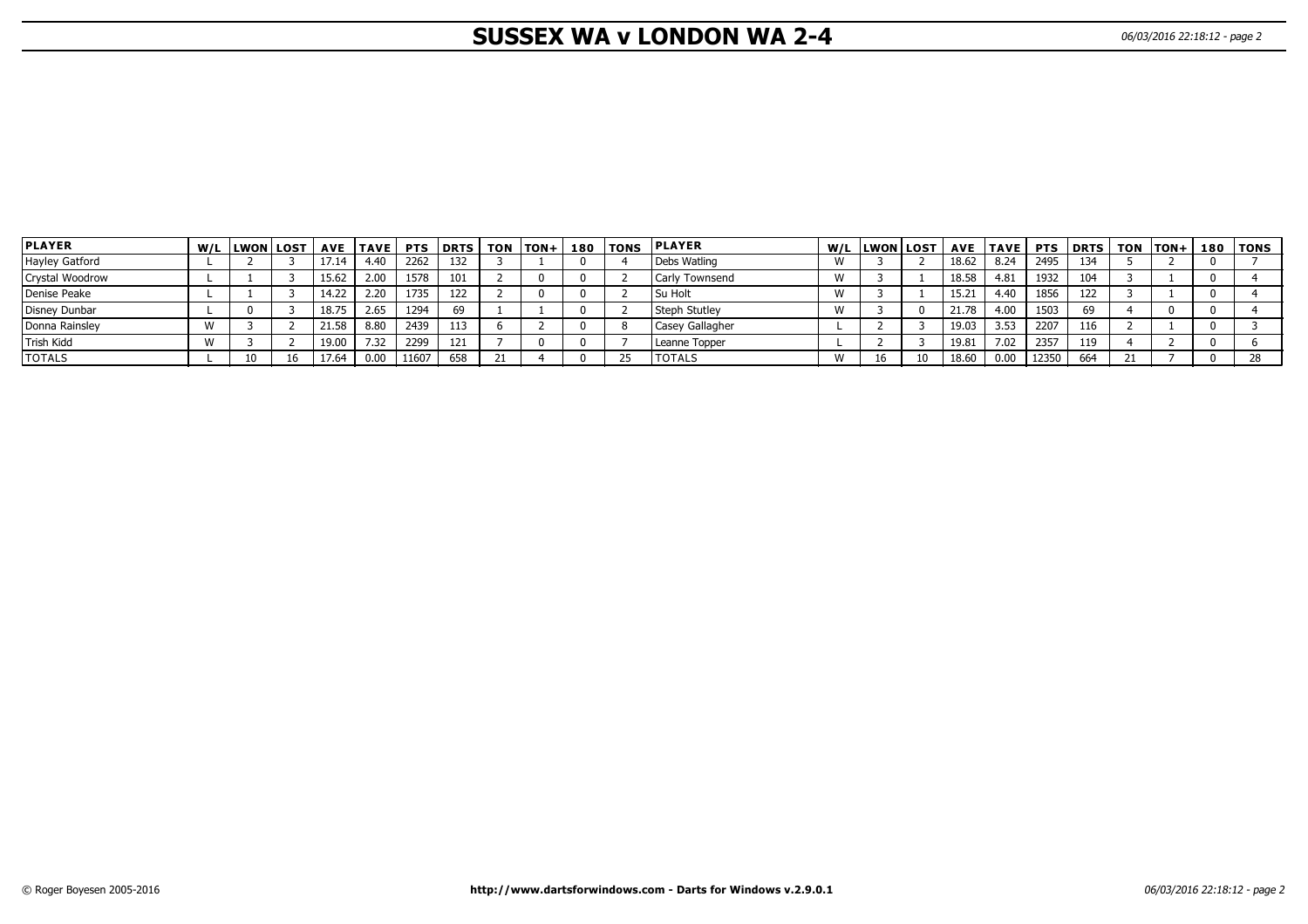# **SUSSEX WA v LONDON WA 2-4** 06/03/2016 22:18:12 - page 2

| <b>PLAYER</b>   | W/L LWON LOST |       | AVE   TAVE | <b>PTS</b> | l DRTS | <b>TON</b> | <b>TON+</b> | 180 l | <b>TONS</b> | <b>PLAYER</b>   |       | W/L LWON | <b>LOST</b> | <b>AVE</b> | <b>TAVE</b> | <b>PTS</b> | <b>DRTS</b> | TON | $ TON+$ | 180   TONS |
|-----------------|---------------|-------|------------|------------|--------|------------|-------------|-------|-------------|-----------------|-------|----------|-------------|------------|-------------|------------|-------------|-----|---------|------------|
| Hayley Gatford  |               | 17.14 | 4.40       | 2262       | 132    |            |             |       |             | Debs Watling    |       |          |             | 18.62      | 8.24        | 2495       | 134         |     |         |            |
| Crystal Woodrow |               | 15.62 | 2.00       | 1578       | 101    |            |             |       |             | Carly Townsend  |       |          |             | 18.58      | 4.81        | 1932       | 104         |     |         |            |
| Denise Peake    |               | 14.22 | 2.20       | 1735       | 122    |            |             |       |             | <b>Su Holt</b>  |       |          |             | 15.21      | 4.40        | 1856       | 122         |     |         |            |
| Disney Dunbar   |               | 18.75 | 2.65       | 1294       | 69     |            |             |       |             | Steph Stutley   | . V V |          |             | 21.78      | 4.00        | 1503       | 69          |     |         |            |
| Donna Rainsley  |               | 21.58 | 8.80       | 2439       | 113    |            |             |       |             | Casey Gallagher |       |          |             | 19.03      | 3.53        | 2207       | 116         |     |         |            |
| Trish Kidd      |               | 19.00 | 7.32       | 2299       | 121    |            |             |       |             | Leanne Topper   |       |          |             | 19.81      | 7.02        | 2357       | 119         |     |         |            |
| <b>TOTALS</b>   |               | 17.64 | 0.00       | 11607      | 658    |            |             |       |             | <b>TOTALS</b>   |       |          | 10          | 18.60      | 0.00        | 12350      | 664         |     |         |            |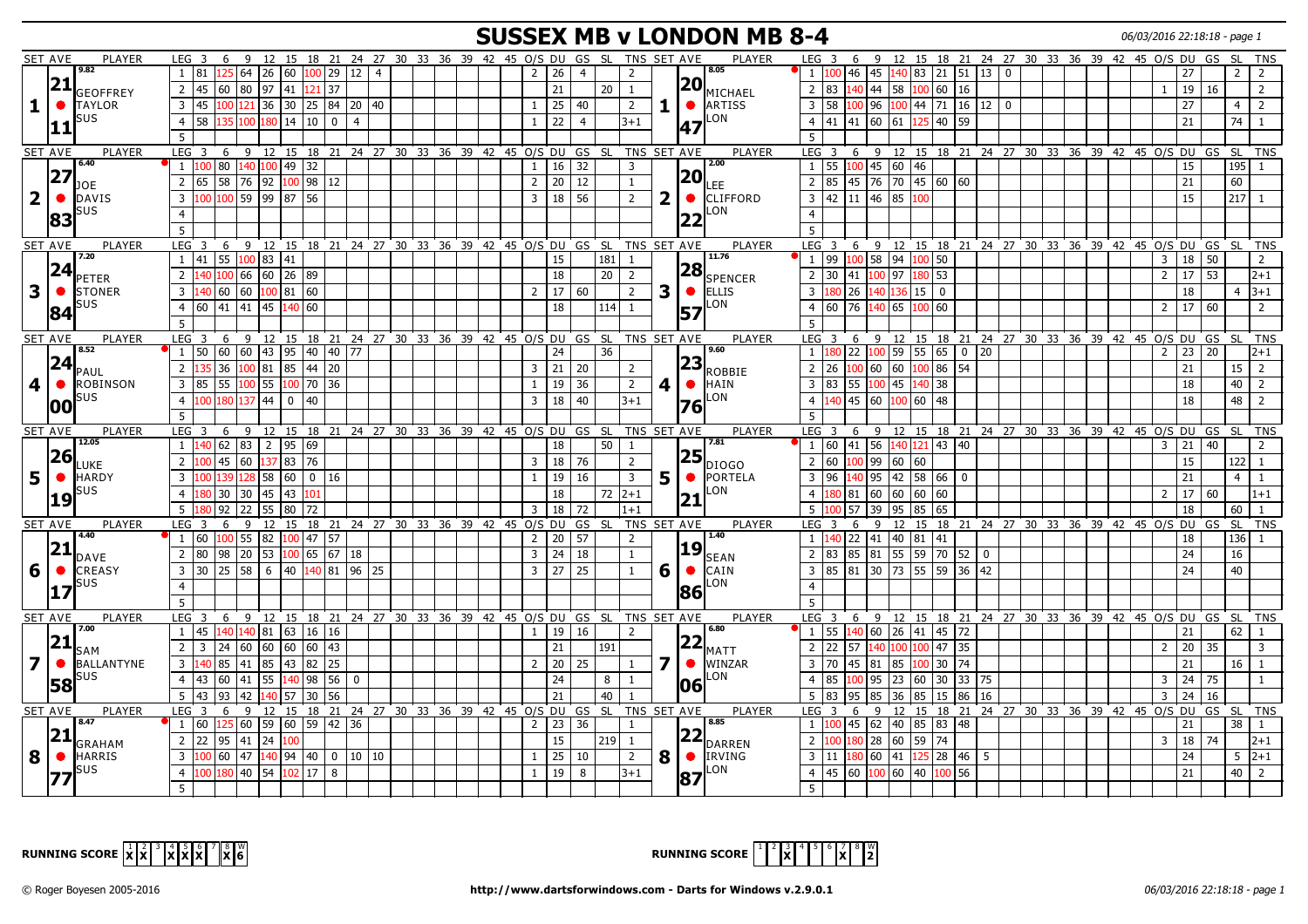## **SUSSEX MB v LONDON MB 8-4** 06/03/2016 22:18:18 - page 1

|                         | <b>SET AVE</b>               | PLAYER | 6<br>LEG <sub>3</sub>            | 9            |                                   |                |                |                |    | 12 15 18 21 24 27 30 33 36 39 42 45 0/S DU GS SL                 |  |                |                 |                |           | TNS SET AVE    |                         |                 | PLAYER                 | LEG <sub>3</sub>          | 6                      | 9                                                             |             |                     |              |  |  | 12 15 18 21 24 27 30 33 36 39 42 45 0/S DU |                     | GS | SL          | TNS            |
|-------------------------|------------------------------|--------|----------------------------------|--------------|-----------------------------------|----------------|----------------|----------------|----|------------------------------------------------------------------|--|----------------|-----------------|----------------|-----------|----------------|-------------------------|-----------------|------------------------|---------------------------|------------------------|---------------------------------------------------------------|-------------|---------------------|--------------|--|--|--------------------------------------------|---------------------|----|-------------|----------------|
|                         | 9.82                         |        | 1   81                           |              | $125\,64\,26\,60\,100\,29\,12\,4$ |                |                |                |    |                                                                  |  | $\overline{2}$ | 26              | $\overline{4}$ |           | 2              |                         |                 | 8.05                   |                           |                        | 46 45                                                         |             | $140$ 83 21 51 13 0 |              |  |  |                                            | 27                  |    | $2^{\circ}$ | $\overline{2}$ |
|                         | 21                           |        |                                  |              |                                   |                |                |                |    |                                                                  |  |                |                 |                |           |                |                         | 20              |                        |                           |                        |                                                               |             |                     |              |  |  |                                            |                     |    |             |                |
|                         | GEOFFREY                     |        | 2 45                             |              | 60 80 97 41 121 37                |                |                |                |    |                                                                  |  |                | 21              |                | 20        | 1              |                         |                 | MICHAEL                | $2 \mid 83$               |                        | $140$ 44 58 100 60 16                                         |             |                     |              |  |  | 1                                          | 19                  | 16 |             | $\overline{2}$ |
| 1                       | <b>TAYLOR</b><br>$\bullet$   |        | $3 \mid 45$                      |              | $100$ 121 36 30 25 84 20 40       |                |                |                |    |                                                                  |  | 1              | $\sqrt{25}$     | 40             |           | $\overline{2}$ | 1                       |                 | <b>O</b> ARTISS        | $3 \mid 58$               |                        | 100 96                                                        |             | $100$ 44 71 16 12 0 |              |  |  |                                            | 27                  |    | 4           | $\overline{2}$ |
|                         | SUS                          |        | $4 \overline{58}$<br>135 l       | 100          | 180                               | $\sqrt{14}$ 10 | 0              | $\overline{4}$ |    |                                                                  |  | <sup>1</sup>   | $\overline{22}$ | $\overline{4}$ |           | $3 + 1$        |                         |                 | LON                    |                           |                        | $4 \mid 41 \mid 41 \mid 60 \mid 61 \mid$                      |             | 125 40 59           |              |  |  |                                            | 21                  |    | $74$ 1      |                |
|                         | 11                           |        | 5                                |              |                                   |                |                |                |    |                                                                  |  |                |                 |                |           |                |                         | 47              |                        | 5                         |                        |                                                               |             |                     |              |  |  |                                            |                     |    |             |                |
|                         | SET AVE                      | PLAYER | LEG <sup>3</sup><br>6            |              |                                   |                |                |                |    | 9 12 15 18 21 24 27 30 33 36 39 42 45 0/S DU GS SL               |  |                |                 |                |           | TNS SET AVE    |                         |                 | PLAYER                 | LEG <sub>3</sub>          |                        | 6 9 12 15 18 21 24 27 30 33 36 39 42 45 O/S DU GS             |             |                     |              |  |  |                                            |                     |    |             | SL TNS         |
|                         | 6.40                         |        | $1 \vert 100$                    | 80 140       | 100                               | 49 32          |                |                |    |                                                                  |  |                |                 | 32             |           | $\overline{3}$ |                         |                 | 2.00                   | $1 \vert 55$              |                        | $100$ 45 60 46                                                |             |                     |              |  |  |                                            | 15                  |    | $195$   1   |                |
|                         | 27                           |        |                                  |              |                                   |                |                |                |    |                                                                  |  | 1              | 16              |                |           |                |                         | 20              |                        |                           |                        |                                                               |             |                     |              |  |  |                                            |                     |    |             |                |
|                         | <b>JOE</b>                   |        | 2 65                             |              | 58 76 92                          | 100 98         | 12             |                |    |                                                                  |  | $\overline{2}$ | 20              | 12             |           | $\mathbf{1}$   |                         |                 | LEE                    | $2 \mid 85$               |                        |                                                               |             |                     |              |  |  |                                            | 21                  |    | 60          |                |
| $\overline{\mathbf{2}}$ | <b>DAVIS</b><br>$\bullet$    |        | $\overline{3}$<br>100            |              | 100 59 99 87 56                   |                |                |                |    |                                                                  |  | 3              | 18              | 56             |           | $\overline{2}$ | $\overline{\mathbf{2}}$ | $\bullet$       | <b>CLIFFORD</b>        |                           |                        | 3 42 11 46 85 100                                             |             |                     |              |  |  |                                            | 15                  |    | $217$ 1     |                |
|                         | SUS<br>83                    |        | $\overline{4}$                   |              |                                   |                |                |                |    |                                                                  |  |                |                 |                |           |                |                         | $\overline{22}$ | LON                    | $\overline{4}$            |                        |                                                               |             |                     |              |  |  |                                            |                     |    |             |                |
|                         |                              |        | 5                                |              |                                   |                |                |                |    |                                                                  |  |                |                 |                |           |                |                         |                 |                        | 5                         |                        |                                                               |             |                     |              |  |  |                                            |                     |    |             |                |
|                         | <b>SET AVE</b>               | PLAYER | LEG <sub>3</sub>                 |              |                                   |                |                |                |    | 6 9 12 15 18 21 24 27 30 33 36 39 42 45 O/S DU GS SL TNS SET AVE |  |                |                 |                |           |                |                         |                 | PLAYER                 | LEG <sub>3</sub>          |                        | 6 9 12 15 18 21 24 27 30 33 36 39 42 45 O/S DU GS             |             |                     |              |  |  |                                            |                     |    | -SI -       | <b>TNS</b>     |
|                         | 7.20                         |        | $1 \mid 41$                      |              | 55  100   83   41                 |                |                |                |    |                                                                  |  |                | 15              |                | 181       | 1              |                         |                 | 11.76                  | 1 99                      |                        | $100$ 58 94 100 50                                            |             |                     |              |  |  | $\overline{3}$                             | 18                  | 50 |             | $\overline{2}$ |
|                         | 24                           |        | 2 <sup>1</sup><br>40             | 100 66       | 60 26 89                          |                |                |                |    |                                                                  |  |                | 18              |                | 20        | <sup>2</sup>   |                         | 28              |                        | $2 \mid 30$               | 41                     | 100 97                                                        | 180   53    |                     |              |  |  | $2^{\circ}$                                | $17$ 53             |    |             | $ 2+1 $        |
|                         | <b>PETER</b>                 |        |                                  |              |                                   |                |                |                |    |                                                                  |  |                |                 |                |           |                |                         |                 | SPENCER                |                           |                        |                                                               |             |                     |              |  |  |                                            |                     |    |             |                |
| 3                       | $\bullet$<br><b>STONER</b>   |        | $\overline{3}$<br>140            | 60 60        | 100 81 60                         |                |                |                |    |                                                                  |  | $\overline{2}$ | $\sqrt{17}$     | 60             |           | $\overline{2}$ | 3                       |                 | <b>I</b> ELLIS         | $\overline{3}$            | 26                     | 140                                                           | 136 15 0    |                     |              |  |  |                                            | 18                  |    |             | $4 \mid 3+1$   |
|                         | SUS<br>84                    |        | 4 60                             | $41 \mid 41$ | 45                                | 140 60         |                |                |    |                                                                  |  |                | 18              |                | 114       | $\overline{1}$ |                         | 57              | LON                    | $\overline{4}$            | 76<br>60               | 140 65 100 60                                                 |             |                     |              |  |  | $2^{\circ}$                                | 17                  | 60 |             | 2              |
|                         |                              |        | 5                                |              |                                   |                |                |                |    |                                                                  |  |                |                 |                |           |                |                         |                 |                        | 5                         |                        |                                                               |             |                     |              |  |  |                                            |                     |    |             |                |
|                         | <b>SET AVE</b>               | PLAYER | LEG <sub>3</sub><br>6            | 9            | 12                                | 15 18          | 21             |                |    | 24 27 30 33 36 39 42 45 0/S DU GS SL                             |  |                |                 |                |           | TNS SET AVE    |                         |                 | <b>PLAYER</b>          | LEG <sub>3</sub>          | 6                      | 9<br>12                                                       |             | 15 18 21            |              |  |  | 24 27 30 33 36 39 42 45 O/S DU             |                     | GS | -SL         | TNS            |
|                         | 8.52                         |        | $1 \vert 50$                     | 60 60        | 43 95 40                          |                |                | 40 77          |    |                                                                  |  |                | 24              |                | 36        |                |                         |                 | 9.60                   |                           | $1 \vert 180 \vert 22$ | $100$ 59 55 65 0                                              |             |                     | 20           |  |  | $\overline{2}$                             | 23                  | 20 |             | l2+1           |
|                         | 24<br><b>PAUL</b>            |        | 36<br>$\overline{2}$             |              | 100 81 85 44                      |                | $\sqrt{20}$    |                |    |                                                                  |  | 3              | $\sqrt{21}$     | 20             |           | 2              |                         | 23              | <b>ROBBIE</b>          | $2 \mid 26$               |                        | $100$ 60 60 100 86 54                                         |             |                     |              |  |  |                                            | 21                  |    | $15 \mid 2$ |                |
| 4                       | <b>ROBINSON</b><br>$\bullet$ |        | 3 85<br>55                       |              | $100$ 55                          |                | 100 70 36      |                |    |                                                                  |  | $\mathbf{1}$   | 19              | 36             |           | $\overline{2}$ | 4                       | $\bullet$       | <b>HAIN</b>            | $\overline{3}$            | 55<br>83               | 100 45 140 38                                                 |             |                     |              |  |  |                                            | 18                  |    | 40          | 2              |
|                         | SUS                          |        | 4 <sup>1</sup><br>100            | 180 137      | 44                                | $\mathbf{0}$   | 40             |                |    |                                                                  |  | $\overline{3}$ | 18              | 40             |           | $3+1$          |                         |                 | LON                    | $\overline{4}$            | 140   45   60          |                                                               | $100$ 60 48 |                     |              |  |  |                                            | 18                  |    | 48 l        | $\overline{2}$ |
|                         | 100                          |        |                                  |              |                                   |                |                |                |    |                                                                  |  |                |                 |                |           |                |                         | 76              |                        |                           |                        |                                                               |             |                     |              |  |  |                                            |                     |    |             |                |
|                         |                              |        | 5                                |              |                                   |                |                |                |    |                                                                  |  |                |                 |                |           |                |                         |                 |                        | $5^{\circ}$               |                        |                                                               |             |                     |              |  |  |                                            |                     |    |             |                |
|                         | <b>SET AVE</b><br>12.05      | PLAYER | LEG <sub>3</sub><br>6            |              |                                   |                |                |                |    | 9 12 15 18 21 24 27 30 33 36 39 42 45 O/S DU GS SL TNS SET AVE   |  |                |                 |                |           |                |                         |                 | PLAYER<br>7.81         | LEG <sub>3</sub>          | - 6                    | 9 12 15 18 21 24 27 30 33 36 39 42 45 0/S DU GS               |             |                     |              |  |  |                                            |                     |    |             | SL TNS         |
|                         | 26                           |        | $1 \vert 140$                    |              | 62 83 2 95 69                     |                |                |                |    |                                                                  |  |                | 18              |                | 50        | <sup>1</sup>   |                         |                 |                        |                           |                        | $1   60   41   56   140   121   43   40$                      |             |                     |              |  |  |                                            | $3 \mid 21 \mid 40$ |    |             | 2              |
|                         | <b>LUKE</b>                  |        | 2 100                            | 45 60        | 137 83 76                         |                |                |                |    |                                                                  |  | $\overline{3}$ | 18              | 76             |           | 2              |                         | 25              | Idiogo                 | 2 60                      |                        | $100$ 99 60 60                                                |             |                     |              |  |  |                                            | 15                  |    | 122 1       |                |
| 5                       | <b>HARDY</b>                 |        | $\overline{3}$<br>139 I          | 128          |                                   |                | 58 60 0 16     |                |    |                                                                  |  | $\mathbf{1}$   | 19              | 16             |           | $\overline{3}$ | 5                       |                 | $\bullet$ PORTELA      | $3 \mid 96$               |                        | l40   95                                                      |             | 42 58 66 0          |              |  |  |                                            | 21                  |    | 4           | $\overline{1}$ |
|                         | SUS<br> 19                   |        | 4 <sup>1</sup><br>80             | 30 30        | 45                                | 43 101         |                |                |    |                                                                  |  |                | 18              |                | 72        | $12+1$         |                         | 21              | LON                    | 4 <sup>1</sup>            | 81                     | 60                                                            | 60 60       | 60                  |              |  |  | $2^{\circ}$                                | 17 <sup>1</sup>     | 60 |             | $1 + 1$        |
|                         |                              |        | 92<br>5                          | 22           | 55                                | 80             | 72             |                |    |                                                                  |  | 3              | 18              | 72             |           | $1+1$          |                         |                 |                        | 5                         | 57                     | 95<br>39                                                      | 85 65       |                     |              |  |  |                                            | 18                  |    | 60          |                |
|                         | <b>SET AVE</b>               | PLAYER | $LEG$ 3<br>6                     |              | $9 \t12$                          |                | 15 18 21       |                |    | 24 27 30 33 36 39 42 45 O/S DU                                   |  |                |                 | GS             | SL.       | TNS SET AVE    |                         |                 | PLAYER                 | LEG <sub>3</sub>          | 6                      | 9                                                             |             |                     |              |  |  | 12 15 18 21 24 27 30 33 36 39 42 45 0/S DU |                     | GS |             | SL TNS         |
|                         | 4.40                         |        | $1 \mid 60$                      |              | $100$ 55 82                       |                | 100 47 57      |                |    |                                                                  |  | $\overline{2}$ | 20              | 57             |           | $\overline{2}$ |                         |                 | 1.40                   |                           |                        | $1 \vert 140 \vert 22 \vert 41 \vert 40 \vert 81 \vert 41$    |             |                     |              |  |  |                                            | 18                  |    | $136$ 1     |                |
|                         | 21                           |        | 2 80                             |              | 98 20 53                          |                | 100656718      |                |    |                                                                  |  | 3              | 24              | 18             |           | $\mathbf{1}$   |                         | 19              |                        | $2 \mid 83$               |                        | 85 81 55 59 70 52                                             |             |                     | $\mathbf{0}$ |  |  |                                            | 24                  |    | 16          |                |
|                         | DAVE                         |        |                                  |              |                                   |                |                |                |    |                                                                  |  |                |                 |                |           |                |                         |                 | <b>SEAN</b>            |                           |                        |                                                               |             |                     |              |  |  |                                            |                     |    |             |                |
| 6                       | $\bullet$<br><b>CREASY</b>   |        | $3 \mid 30$                      |              |                                   |                |                |                | 25 |                                                                  |  | $\overline{3}$ | $\sqrt{27}$     | 25             |           | $\mathbf{1}$   | 6                       |                 | <b>CAIN</b>            | 3 85                      |                        | 81   30   73   55   59   36   42                              |             |                     |              |  |  |                                            | 24                  |    | 40          |                |
|                         | SUS                          |        | $\overline{4}$                   |              |                                   |                |                |                |    |                                                                  |  |                |                 |                |           |                |                         | 86              | LON                    | $\overline{4}$            |                        |                                                               |             |                     |              |  |  |                                            |                     |    |             |                |
|                         |                              |        | 5                                |              |                                   |                |                |                |    |                                                                  |  |                |                 |                |           |                |                         |                 |                        | 5                         |                        |                                                               |             |                     |              |  |  |                                            |                     |    |             |                |
|                         | <b>SET AVE</b>               | PLAYER | LEG <sub>3</sub>                 |              |                                   |                |                |                |    | 6 9 12 15 18 21 24 27 30 33 36 39 42 45 0/S DU GS SL TNS SET AVE |  |                |                 |                |           |                |                         |                 | <b>PLAYER</b>          | LEG <sup>3</sup>          |                        | 6 9 12 15 18 21 24 27 30 33 36 39 42 45 0/S DU GS SL TNS      |             |                     |              |  |  |                                            |                     |    |             |                |
|                         | 7.00                         |        | $1 \mid 45$                      | 140 140      |                                   |                | 81  63  16  16 |                |    |                                                                  |  | $\mathbf{1}$   | 19              | 16             |           | $\overline{2}$ |                         |                 | 6.80                   |                           |                        | $1 \overline{55}$ $140 \overline{60}$ 26 41 45 72             |             |                     |              |  |  |                                            | 21                  |    | $62$   1    |                |
|                         | 21<br>SAM                    |        | $\overline{2}$<br>$\overline{3}$ | 24 60        |                                   |                |                |                |    |                                                                  |  |                | 21              |                | 191       |                |                         | 22              | MATT                   | $2 \mid 22$               | 57                     | 140                                                           |             | 100 100 47 35       |              |  |  | $\overline{2}$                             | 20 35               |    |             | $\overline{3}$ |
| 7                       | <b>BALLANTYNE</b>            |        | 3 140                            | 85 41        |                                   |                | 85 43 82 25    |                |    |                                                                  |  | $\overline{2}$ | $\sqrt{20}$     | l 25           |           | $\mathbf{1}$   |                         | $\bullet$       | <b>WINZAR</b>          | $3 \mid 70$               |                        | 45   81                                                       |             | 85 100 30 74        |              |  |  |                                            | 21                  |    | $16$   $1$  |                |
|                         | SUS                          |        | 4 43                             | 60 41        | 55                                |                | 140 98 56      | $\mathbf 0$    |    |                                                                  |  |                | $\overline{24}$ |                | 8         | 1              |                         |                 | LON                    | 4 85                      | 100                    | $\sqrt{95}$                                                   | 23 60       | 30 33               | 75           |  |  | $\overline{3}$                             | 24   75             |    |             |                |
|                         | 58                           |        |                                  |              |                                   |                |                |                |    |                                                                  |  |                |                 |                |           |                |                         | <b>06</b>       |                        |                           |                        |                                                               |             |                     |              |  |  |                                            |                     |    |             |                |
|                         |                              |        | 93<br>$5 \mid 43$                | 42           | 140 57 30                         |                | 56             |                |    |                                                                  |  |                | 21              |                | 40        |                |                         |                 |                        | $5 \overline{\smash{83}}$ | 95                     | 85<br>36                                                      | 85          | 86<br>15            | 16           |  |  | 3                                          | 24                  | 16 |             |                |
|                         | <b>SET AVE</b><br>8.47       | PLAYER | LEG <sub>3</sub><br>6            |              |                                   |                |                |                |    | 9 12 15 18 21 24 27 30 33 36 39 42 45 O/S DU GS SL TNS SET AVE   |  |                |                 |                |           |                |                         |                 | PLAYER<br>8.85         | LEG <sub>3</sub>          | 6                      | 9 12 15 18 21 24 27 30 33 36 39 42 45 0/S DU GS               |             |                     |              |  |  |                                            |                     |    |             | SL TNS         |
|                         | 21                           |        | 1 60                             |              | 125 60 59 60 59 42 36             |                |                |                |    |                                                                  |  | $\overline{2}$ | $\vert$ 23      | 36             |           | $\mathbf{1}$   |                         |                 |                        |                           |                        | $1 \overline{100}$ 45 62 40 85 83 48                          |             |                     |              |  |  |                                            | 21                  |    | $38$   1    |                |
|                         | <b>GRAHAM</b>                |        | 2 22                             | $95 \mid 41$ | $\sqrt{24}$                       | 100            |                |                |    |                                                                  |  |                | 15              |                | $219$   1 |                |                         |                 | $ 22 _{\text{DARREN}}$ | 2 100                     |                        | $180$ 28 60 59 74                                             |             |                     |              |  |  |                                            | $3 \mid 18$         | 74 |             | $ 2+1 $        |
| 8                       | <b>HARRIS</b><br>$\bullet$   |        | 3 100                            |              | $\sqrt{60}$ 47 140 94 40          |                |                | 0   10   10    |    |                                                                  |  | 1              | $\sqrt{25}$     | 10             |           | $\overline{2}$ | 8                       |                 | <b>O</b> IRVING        | $3 \mid 11$               |                        | 180 60 41 125 28 46                                           |             |                     | 5            |  |  |                                            | 24                  |    |             | $5 \ 2+1$      |
|                         | sus                          |        | 4 100                            |              | 180 40 54 102 17                  |                | 8              |                |    |                                                                  |  | <sup>1</sup>   | $\boxed{19}$    | 8              |           | $3+1$          |                         | 87              | LON.                   |                           |                        | $4 \mid 45 \mid 60 \mid 100 \mid 60 \mid 40 \mid 100 \mid 56$ |             |                     |              |  |  |                                            | 21                  |    | $40 \mid 2$ |                |
|                         |                              |        |                                  |              |                                   |                |                |                |    |                                                                  |  |                |                 |                |           |                |                         |                 |                        |                           |                        |                                                               |             |                     |              |  |  |                                            |                     |    |             |                |
|                         | 177                          |        | -5                               |              |                                   |                |                |                |    |                                                                  |  |                |                 |                |           |                |                         |                 |                        | 5                         |                        |                                                               |             |                     |              |  |  |                                            |                     |    |             |                |



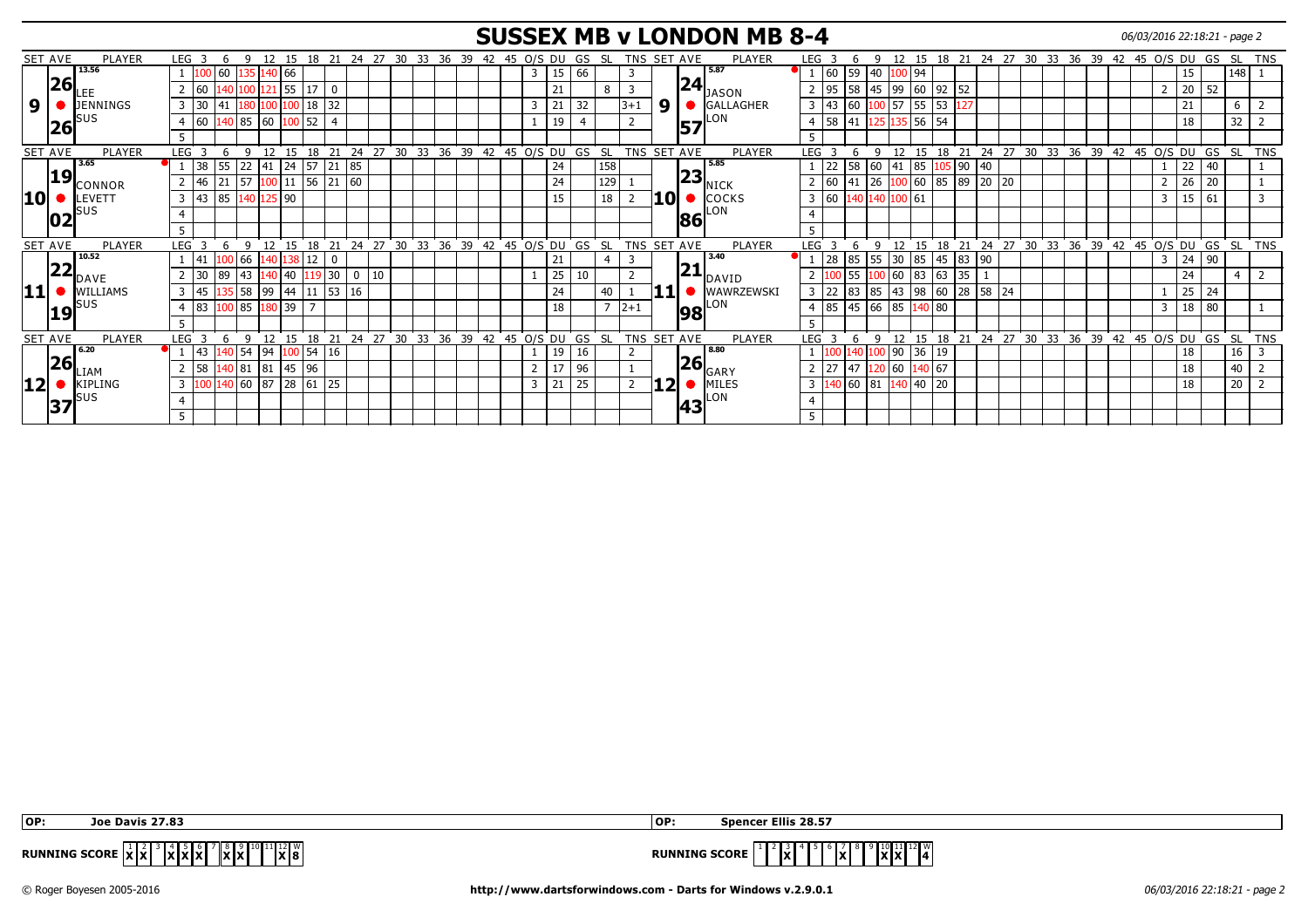#### **SUSSEX MB v LONDON MB 8-4** 06/03/2016 22:18:21 - page 2

|                           | SET AVE | PLAYER          | LEG <sub>3</sub> |                                         | 6       | q             | 12          |        |                             | 15 18 21       |       | 24 27 30 33 36 39           |    |       |    |    | 42 |    | 45 O/S DU |    | GS SL |     |                | TNS SET AVE |     |           | <b>PLAYER</b>                    | LEG <sub>3</sub> |             |            | q                         | 12     |             |              |              |    |             |       |    | 15 18 21 24 27 30 33 36 39 42 45 O/S DU GS |              |    | - SL        | TNS            |
|---------------------------|---------|-----------------|------------------|-----------------------------------------|---------|---------------|-------------|--------|-----------------------------|----------------|-------|-----------------------------|----|-------|----|----|----|----|-----------|----|-------|-----|----------------|-------------|-----|-----------|----------------------------------|------------------|-------------|------------|---------------------------|--------|-------------|--------------|--------------|----|-------------|-------|----|--------------------------------------------|--------------|----|-------------|----------------|
|                           |         | 13.56           |                  |                                         | 60 1    |               | 135 140 66  |        |                             |                |       |                             |    |       |    |    |    |    | 3         | 15 | 66    |     | 3              |             |     |           | 5.87                             |                  | $1 \mid 60$ | 59         | 40 I:                     | 100 94 |             |              |              |    |             |       |    |                                            | 15           |    | 148         |                |
|                           | 26      |                 |                  | $ 60\rangle$                            | 140   1 |               |             |        | $100\overline{121}$ 55   17 | -0             |       |                             |    |       |    |    |    |    |           | 21 |       | 8   |                |             |     | 24        | <b>JASON</b>                     |                  | $2$ 95      | 58         | 45 99                     |        | $60$   92   | 152          |              |    |             |       |    |                                            | 20 52        |    |             |                |
| 9                         |         | <b>JENNINGS</b> |                  | $3 \mid 30$                             | 41      |               |             |        | 100 18                      | 32             |       |                             |    |       |    |    |    |    | 3         | 21 | 32    |     | $3 + 1$        |             | 9   |           | GALLAGHER                        | $\overline{3}$   | 43          | 60         |                           | 57     | 55<br>53    |              |              |    |             |       |    |                                            | 21           |    | 6           |                |
|                           | 26      |                 | 4                | 160                                     |         | 140   85      | $\sqrt{60}$ |        | 52                          | $\overline{4}$ |       |                             |    |       |    |    |    |    |           | 19 |       |     | $\overline{2}$ |             |     | 157       | ILON                             | $\overline{4}$   | 58          | 141        | 25                        |        | 5 56 54     |              |              |    |             |       |    |                                            | 18           |    | 32          |                |
|                           |         |                 | 5                |                                         |         |               |             |        |                             |                |       |                             |    |       |    |    |    |    |           |    |       |     |                |             |     |           |                                  | 5                |             |            |                           |        |             |              |              |    |             |       |    |                                            |              |    |             |                |
|                           | SET AVE | PLAYER          | <b>LEG</b>       |                                         |         | $\alpha$      | 12          |        | 18                          | 21             | 24    | 27 30 33 36 39 42 45 O/S DU |    |       |    |    |    |    |           |    | GS SL |     |                | TNS SET AVE |     |           | PLAYER                           | <b>LEG</b>       |             |            | $\mathbf{q}$              | 12     |             | 18           | 21 24 27     |    |             |       |    | 30 33 36 39 42 45 O/S DU GS                |              |    | - SL        | TNS            |
|                           |         | 3.65            |                  | $\begin{array}{c} \n 38 \n \end{array}$ | 55      | 22            | 41          | 24     | 57                          | 21             | 85    |                             |    |       |    |    |    |    |           | 24 |       | 158 |                |             |     |           | <b>5.85</b>                      |                  | 22          | 58         | 60                        |        | 85          | 105   90     | 40           |    |             |       |    |                                            | 22           | 40 |             |                |
|                           | 19      | CONNOR          |                  | 46                                      |         | 57            |             | 100 11 | 56                          |                | 21 60 |                             |    |       |    |    |    |    |           | 24 |       | 129 |                |             |     |           | $\left 23\right _{\text{NICK}}$  |                  | 2 60        | 141        | 26                        |        |             | 00 60 85 89  | $20 \mid 20$ |    |             |       |    |                                            | 26           | 20 |             |                |
| 10                        |         | LEVETT          |                  | $3 \mid 43$                             |         | 85 140 125 90 |             |        |                             |                |       |                             |    |       |    |    |    |    |           | 15 |       | 18  |                |             | 10  |           | <b>COCKS</b>                     |                  | $3\quad60$  | 140        | 140 100 61                |        |             |              |              |    |             |       |    | -3                                         | $15 \mid 61$ |    |             | $\overline{3}$ |
|                           | 02      | sus             |                  |                                         |         |               |             |        |                             |                |       |                             |    |       |    |    |    |    |           |    |       |     |                |             |     | 86        | ILON                             | $\overline{4}$   |             |            |                           |        |             |              |              |    |             |       |    |                                            |              |    |             |                |
|                           |         |                 | 5                |                                         |         |               |             |        |                             |                |       |                             |    |       |    |    |    |    |           |    |       |     |                |             |     |           |                                  | 5                |             |            |                           |        |             |              |              |    |             |       |    |                                            |              |    |             |                |
|                           | SET AVE | PLAYER          | <b>LEG</b>       |                                         |         |               |             |        | 18                          | 21             | 24    | 27                          | 30 | 33 36 |    | 39 | 42 |    | 45 0/S DU |    | GS SL |     |                | TNS SET AVE |     |           | PLAYER                           | <b>LEG</b>       |             |            | a                         |        |             | 21<br>18     | $24$ 27      |    | 30 33 36 39 |       |    | 42 45 0/S DU GS                            |              |    | - SL        | <b>TNS</b>     |
|                           |         | 10.52           |                  | 141                                     |         | 00   66       |             |        | 138 12                      | -0             |       |                             |    |       |    |    |    |    |           | 21 |       |     | 3              |             |     |           | 3.40                             |                  | 28          | 85         | 55                        |        | 45<br>85    | 83           | 90           |    |             |       |    | -3                                         | $24$ 90      |    |             |                |
|                           | 22      | DAVE            |                  | $\begin{array}{c} 30 \\ \end{array}$    | 89      | 43            |             | 140 40 |                             | 30             |       | 10                          |    |       |    |    |    |    |           | 25 | 10    |     |                |             |     |           | $\left 21\right _{\text{DAVID}}$ | $\overline{2}$   |             | 155        |                           |        | 00 60 83 63 | 35           |              |    |             |       |    |                                            | 24           |    |             |                |
| $\vert\mathbf{11}\vert$ : |         | WILLIAMS        |                  | $3 \mid 45$                             |         | <b>SS</b> 58  |             |        | 99 44 11                    | 53             | 16    |                             |    |       |    |    |    |    |           | 24 |       | 40  |                |             |     |           | WAWRZEWSKI                       |                  | $3 \mid 22$ | 83         | 85                        |        | 43 98 60    | $ 28\rangle$ | 58 24        |    |             |       |    |                                            | 25           | 24 |             |                |
|                           |         | <b>SUS</b>      | 4                | 83                                      |         | 00 85         |             | 180 39 |                             |                |       |                             |    |       |    |    |    |    |           | 18 |       |     | $ 2+1 $        |             |     | 98        | LON                              |                  | 4 85        | 45         | 66 85 140 80              |        |             |              |              |    |             |       |    | 3                                          | 18           | 80 |             |                |
|                           |         |                 | 5                |                                         |         |               |             |        |                             |                |       |                             |    |       |    |    |    |    |           |    |       |     |                |             |     |           |                                  | 5                |             |            |                           |        |             |              |              |    |             |       |    |                                            |              |    |             |                |
|                           | SET AVE | PLAYER          | <b>LEG</b>       |                                         |         | $\mathbf{q}$  | 12          |        | 18                          | 21             | 24    | 27                          | 30 | 33    | 36 | 39 | 42 | 45 | O/S DU    |    | GS    | -SL |                | TNS SET AVE |     |           | PLAYER                           | LEG              |             |            | $\alpha$                  | 12     | 15          | 18<br>21     | 24 27        | 30 | 33          | 36 39 | 42 | 45 O/S DU GS                               |              |    | <b>SL</b>   | <b>TNS</b>     |
|                           |         | 6.20            |                  | $\begin{array}{c} \end{array}$          |         | 140 54        | 94          |        | 100 54                      | 16             |       |                             |    |       |    |    |    |    |           | 19 | 16    |     | $\overline{2}$ |             |     |           | 8.80                             |                  |             |            | $\overline{100}$ 90 36 19 |        |             |              |              |    |             |       |    |                                            | 18           |    | $16 \mid 3$ |                |
|                           | 26      |                 |                  | $\frac{158}{56}$                        |         | 140   81      |             |        | 81 45 96                    |                |       |                             |    |       |    |    |    |    |           | 17 | 96    |     |                |             |     | <b>26</b> | <b>GARY</b>                      | $\overline{2}$   | 27          | 47         | 120 60 140 67             |        |             |              |              |    |             |       |    |                                            | 18           |    | 40          |                |
| 12                        |         | <b>KIPLING</b>  |                  | 3 100                                   |         |               |             |        | 140 60 87 28 61             | 25             |       |                             |    |       |    |    |    |    | 3         | 21 | 25    |     | $\overline{2}$ |             | L2I |           | MILES                            | 3 <sup>1</sup>   |             | $\vert$ 60 | 81  :                     |        | 140 40 20   |              |              |    |             |       |    |                                            | 18           |    | 20          | $\vert$ 2      |
|                           | 37      | sus             | $\overline{4}$   |                                         |         |               |             |        |                             |                |       |                             |    |       |    |    |    |    |           |    |       |     |                |             |     | 43        | ∥LON                             | $\overline{4}$   |             |            |                           |        |             |              |              |    |             |       |    |                                            |              |    |             |                |
|                           |         |                 | 5                |                                         |         |               |             |        |                             |                |       |                             |    |       |    |    |    |    |           |    |       |     |                |             |     |           |                                  | 5                |             |            |                           |        |             |              |              |    |             |       |    |                                            |              |    |             |                |

| OP:                  | <b>Davis 27.83</b>                                         | l OP                 | r Ellis 28.57.<br>$T$ - one or $=$ |
|----------------------|------------------------------------------------------------|----------------------|------------------------------------|
|                      |                                                            |                      | 112V                               |
| <b>RUNNING SCORE</b> | ` x s<br>اندانداندا<br>vlvl<br><u>IXIX</u><br>ᄭᄭ<br> A A A | <b>RUNNING SCORE</b> | $\ x\ $<br>$\ x\ $<br>IXI<br>- 14  |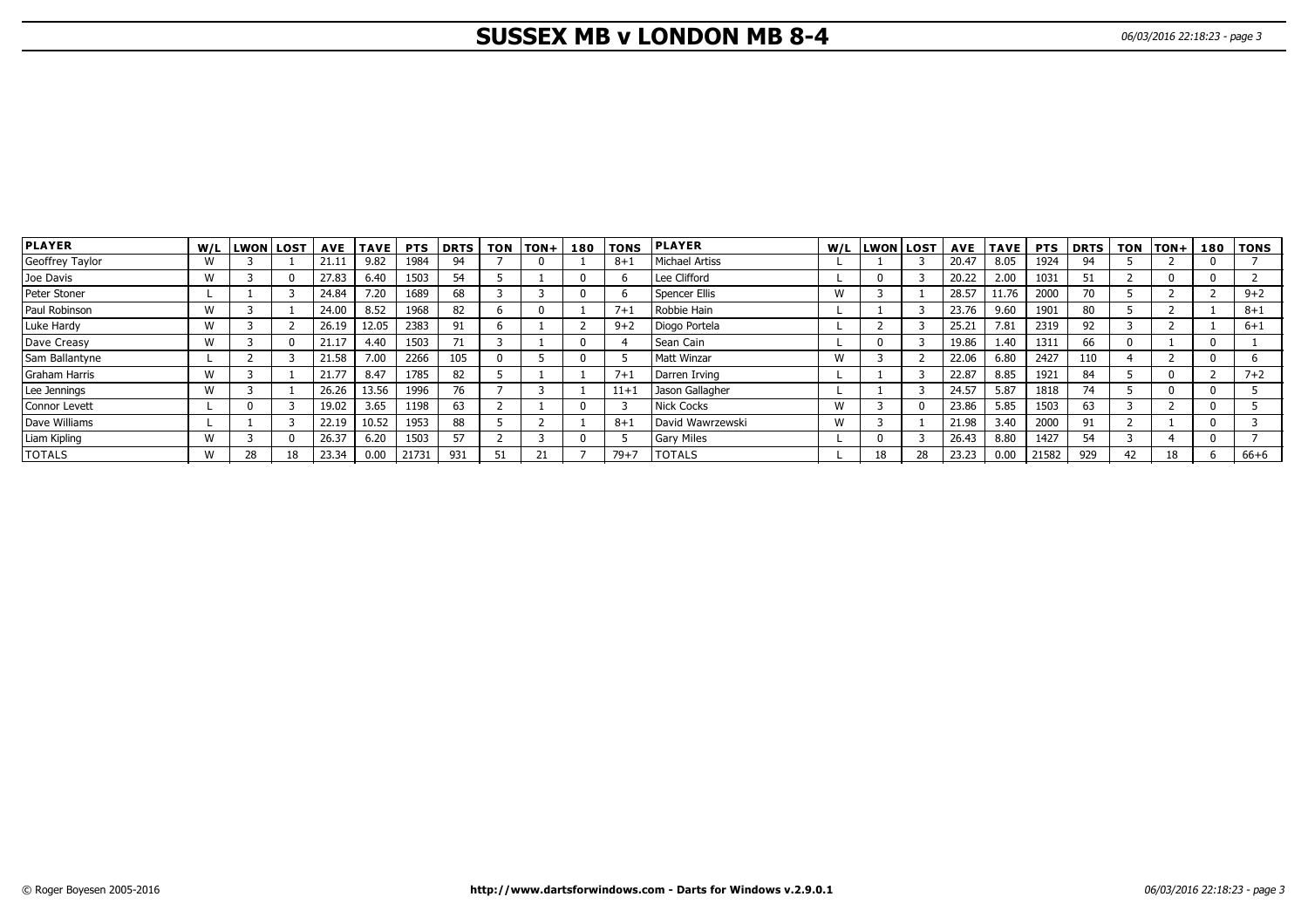# **SUSSEX MB v LONDON MB 8-4** 06/03/2016 22:18:23 - page 3

| <b>PLAYER</b>   | W/L          | <b>LWON</b> | <b>LOST</b> | <b>AVE</b> | <b>TAVE</b> | <b>PTS</b> | <b>DRTS</b> | <b>TON</b> | <b>TON+</b> | 180 | <b>TONS</b> | <b>PLAYER</b>     | W/L | <b>LWON</b> | l LOST l | <b>AVE</b> | <b>TAVE</b> | <b>PTS</b> | l DRTS | <b>TON</b> | lTON+ | 180 | <b>TONS</b> |
|-----------------|--------------|-------------|-------------|------------|-------------|------------|-------------|------------|-------------|-----|-------------|-------------------|-----|-------------|----------|------------|-------------|------------|--------|------------|-------|-----|-------------|
| Geoffrey Taylor | $\mathbf{M}$ |             |             | 21.1       | 9.82        | 1984       | 94          |            |             |     | $8 + 1$     | Michael Artiss    |     |             |          | 20.47      | 8.05        | 1924       | 94     |            |       |     |             |
| Joe Davis       | W            |             |             | 27.83      | 6.40        | 1503       | 54          |            |             |     |             | Lee Clifford      |     |             |          | 20.22      | 2.00        | 1031       | 51     |            |       |     |             |
| Peter Stoner    |              |             |             | 24.84      | 7.20        | 1689       | 68          |            |             |     |             | Spencer Ellis     | W   |             |          | 28.57      | 11.76       | 2000       | 70     |            |       |     | $9 + 2$     |
| Paul Robinson   | M            |             |             | 24.00      | 8.52        | 1968       | 82          |            |             |     | $7 + 1$     | Robbie Hain       |     |             |          | 23.76      | 9.60        | 1901       | 80     |            |       |     | $8 + 1$     |
| Luke Hardy      | W            |             |             | 26.19      | 12.05       | 2383       | 91          |            |             |     | $9 + 2$     | Diogo Portela     |     |             |          | 25.21      | 7.81        | 2319       | 92     |            |       |     | $6 + 1$     |
| Dave Creasy     | W            |             |             | 21.17      | 4.40        | 1503       | 71          |            |             |     |             | Sean Cain         |     |             |          | 19.86      | 1.40        | 1311       | 66     |            |       |     |             |
| Sam Ballantyne  |              |             |             | 21.58      | 7.00        | 2266       | 105         |            |             |     |             | Matt Winzar       | W   |             |          | 22.06      | 6.80        | 2427       | 110    |            |       |     |             |
| Graham Harris   | W            |             |             | 21.77      | 8.47        | 1785       | 82          |            |             |     | $7 + 1$     | Darren Irving     |     |             |          | 22.87      | 8.85        | 1921       | 84     |            |       |     | $7 + 2$     |
| Lee Jennings    | W            |             |             | 26.26      | 13.56       | 1996       | 76          |            |             |     | $11 + 1$    | Jason Gallagher   |     |             |          | 24.57      | 5.87        | 1818       | 74     |            |       |     |             |
| Connor Levett   |              |             |             | 19.02      | 3.65        | 1198       | 63          |            |             |     |             | Nick Cocks        | W   |             |          | 23.86      | 5.85        | 1503       | 63     |            |       |     |             |
| Dave Williams   |              |             |             | 22.19      | 10.52       | 1953       | 88          |            |             |     | $8 + 1$     | David Wawrzewski  | W   |             |          | 21.98      | 3.40        | 2000       | 91     |            |       |     |             |
| Liam Kipling    | M            |             |             | 26.37      | 6.20        | 1503       | 57          |            |             |     |             | <b>Gary Miles</b> |     |             |          | 26.43      | 8.80        | 1427       | 54     |            |       |     |             |
| <b>TOTALS</b>   | ៶៱៸          | 28          |             | 23.34      | 0.00        | 21731      | 931         |            | 21          |     | $79 + 7$    | <b>TOTALS</b>     |     |             |          | 23.23      | 0.00        | 21582      | 929    | 42         | 18    |     | $66 + 6$    |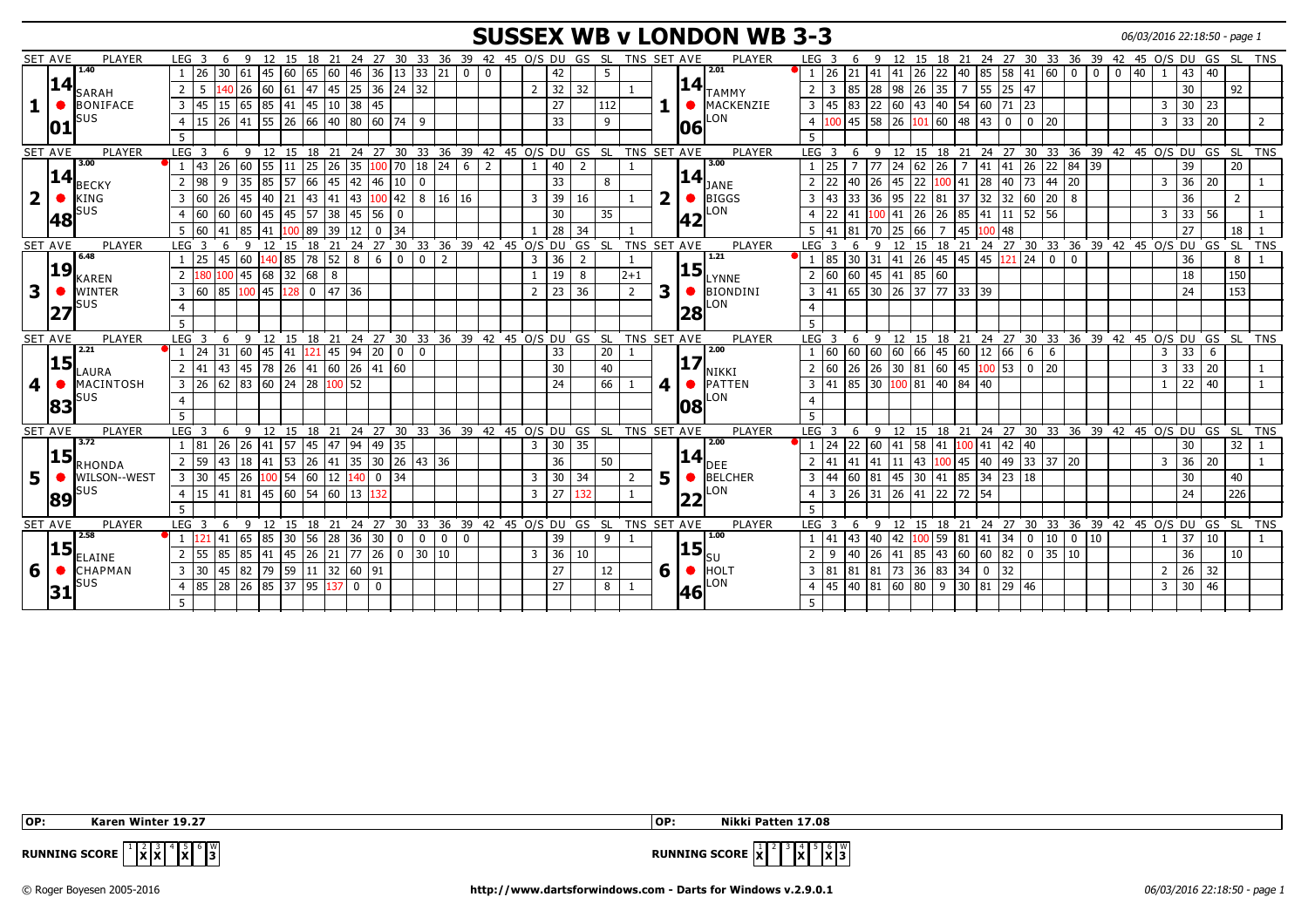## **SUSSEX WB v LONDON WB 3-3** 06/03/2016 22:18:50 - page 1

|                         | <b>SET AVE</b><br>PLAYER         | LEG <sub>3</sub><br>6<br>− q |                                                                              |                      |          |                    |                                             | 12 15 18 21 24 27 30 33 36 39 42 45 O/S DU GS SL TNS SET AVE |             |                |                                   |                |     |                |    |            | PLAYER                                    | LEG <sub>3</sub>     |        | -9             |                                   |                |                                              |                   |                             |             |                            |          | 12 15 18 21 24 27 30 33 36 39 42 45 O/S DU GS SL TNS   |                     |    |                  |            |
|-------------------------|----------------------------------|------------------------------|------------------------------------------------------------------------------|----------------------|----------|--------------------|---------------------------------------------|--------------------------------------------------------------|-------------|----------------|-----------------------------------|----------------|-----|----------------|----|------------|-------------------------------------------|----------------------|--------|----------------|-----------------------------------|----------------|----------------------------------------------|-------------------|-----------------------------|-------------|----------------------------|----------|--------------------------------------------------------|---------------------|----|------------------|------------|
|                         | 1.40                             | 126<br>30 61                 | 145<br>60                                                                    | 65                   | 60       | 46<br>36           | 13                                          | 33 21                                                        | $\mathbf 0$ | $\Omega$       | 42                                |                |     |                |    |            | 2.01                                      | 26                   |        | 141            |                                   | $26$ 22        | 140                                          |                   | 85 58 41 60                 |             | $\Omega$<br>$\overline{0}$ | $\Omega$ | 40                                                     | 43                  | 40 |                  |            |
|                         | 14                               |                              | 26                                                                           |                      |          |                    |                                             |                                                              |             |                |                                   |                |     |                |    | 14         |                                           |                      | 85     |                |                                   |                |                                              |                   | 47                          |             |                            |          |                                                        |                     |    |                  |            |
|                         | SARAH                            | $2 \mid 5$                   | 60                                                                           | 61 47                | $145$ 25 |                    | $36 \mid 24 \mid 32$                        |                                                              |             |                | 32<br>2                           | 32             |     |                |    |            | TAMMY                                     | 3                    |        | 28             | 98                                | 26 35          | $\overline{7}$                               | $55 \mid 25$      |                             |             |                            |          |                                                        | 30                  |    | 92               |            |
|                         | <b>BONIFACE</b>                  | $3 \mid 45$                  | 15 65 85 41 45 10 38 45                                                      |                      |          |                    |                                             |                                                              |             |                | 27                                |                | 112 |                |    |            | <b>MACKENZIE</b>                          | 45<br>$\overline{3}$ | 83     |                |                                   |                |                                              |                   |                             |             |                            |          | 3                                                      | $30$ 23             |    |                  |            |
|                         | SUS<br>10                        | 4 15                         | 26 41 55 26 66 40 80 60 74 9                                                 |                      |          |                    |                                             |                                                              |             |                | 33                                |                | 9   |                |    | <b>06</b>  | LON                                       | $4\overline{100}$    |        |                | $\boxed{45}$ 58 26 101 60 48 43 0 |                |                                              |                   | 0 20                        |             |                            |          |                                                        | $3 \mid 33 \mid 20$ |    |                  | 2          |
|                         |                                  | 5                            |                                                                              |                      |          |                    |                                             |                                                              |             |                |                                   |                |     |                |    |            |                                           |                      |        |                |                                   |                |                                              |                   |                             |             |                            |          |                                                        |                     |    |                  |            |
|                         | PLAYER<br><b>SET AVE</b>         | LEG <sub>3</sub>             | 6 9 12 15 18 21 24 27 30 33 36 39 42 45 O/S DU GS SL TNS SET AVE             |                      |          |                    |                                             |                                                              |             |                |                                   |                |     |                |    |            | PLAYER                                    | LEG <sub>3</sub>     | 6      |                |                                   |                |                                              |                   |                             |             |                            |          | 9 12 15 18 21 24 27 30 33 36 39 42 45 O/S DU GS SL TNS |                     |    |                  |            |
|                         | 3.00                             | $1 \mid 43$<br>26 60         |                                                                              |                      |          |                    |                                             |                                                              |             | $\overline{2}$ | 40<br>$\mathbf{1}$                | $\overline{2}$ |     |                |    |            | 3.00                                      | 25                   | 7 7 7  |                | 24                                | $62 \mid 26$   |                                              |                   |                             |             | $7$ 41 41 26 22 84 39      |          |                                                        | 39                  |    | 20               |            |
|                         | 14                               | 2 98<br>9                    | 35 85                                                                        | 57 66                | 45 42    | 46                 | 10                                          | $\Omega$                                                     |             |                | 33                                |                | 8   |                |    | <u> 14</u> |                                           | 22<br>$\overline{2}$ | 40     | l 26           | 45                                |                | 22 $\vert 100 \vert 41 \vert 28 \vert 40$    |                   |                             | 73 44 20    |                            |          | 3                                                      | $36 \mid 20$        |    |                  |            |
|                         | <b>BECKY</b>                     |                              |                                                                              |                      |          |                    |                                             |                                                              |             |                |                                   |                |     |                | ר  |            | JANE                                      |                      |        |                |                                   |                |                                              |                   |                             |             |                            |          |                                                        |                     |    |                  |            |
| $\overline{\mathbf{2}}$ | <b>KING</b>                      | 3 60<br>26<br>45             | 21<br>140                                                                    | $\sqrt{43}$          | 41       | 43                 | $100$ 42                                    | 8 16 16                                                      |             |                | 39<br>$\overline{3}$              | 16             |     |                |    |            | BIGGS                                     | 43<br>3              | 33     | 36             | 95                                | 22 81          | 37                                           | $32 \mid 32$      | 60 20                       |             | l 8                        |          |                                                        | 36                  |    | 2                |            |
|                         | SUS<br> 48                       | 160<br>$\sqrt{60}$<br>60     | 145                                                                          | 45<br>57             | 38       | 45<br>56           | $\mathbf 0$                                 |                                                              |             |                | 30                                |                | 35  |                |    | 42         | LON                                       | 22                   |        |                | 141                               | $26$ 26        | 185                                          | 41   11           | $152$ 156                   |             |                            |          | 3                                                      | 33                  | 56 |                  |            |
|                         |                                  | 5 60<br>85<br>41             | 41                                                                           | 89                   | 39       | 12<br>$\mathbf{0}$ | 34                                          |                                                              |             |                | 28                                | 34             |     |                |    |            |                                           | 41                   | 81     | 70             | 25<br>66                          | $\overline{7}$ | 145                                          | $100$ 48          |                             |             |                            |          |                                                        | $\overline{27}$     |    | 18               |            |
|                         | <b>SET AVE</b><br><b>PLAYER</b>  | LEG <sub>3</sub><br>-6       | 12 15 18 21 24 27 30 33 36 39 42 45 O/S DU GS SL TNS SET AVE<br>$\mathbf{q}$ |                      |          |                    |                                             |                                                              |             |                |                                   |                |     |                |    |            | PLAYER                                    | LEG <sub>3</sub>     | 6      | $\mathsf{Q}$   |                                   |                |                                              |                   |                             |             |                            |          | 12 15 18 21 24 27 30 33 36 39 42 45 O/S DU GS          |                     |    | É SL             | <b>TNS</b> |
|                         | 6.48                             | $1 \mid 25$<br>45 60         | $140$ 85 78 52 8                                                             |                      |          | 6                  | $\mathbf 0$                                 | $\overline{2}$<br>$\mathbf 0$                                |             |                | 36<br>3                           | $\overline{2}$ |     |                |    |            | 1.21                                      | 85                   | 30 31  |                | 41                                | 26 45          | 45 45 121 24                                 |                   |                             | $\mathbf 0$ | $\mathbf 0$                |          |                                                        | 36                  |    | 8                |            |
|                         | 19 <br>KAREN                     | 2 180                        | 45 68 32 68                                                                  |                      | 8        |                    |                                             |                                                              |             |                | 19                                | 8              |     | $2+1$          |    |            | $\left\lvert 15\right\rvert_\text{LYNNE}$ | 2 60                 | 60     |                | 45 41 85 60                       |                |                                              |                   |                             |             |                            |          |                                                        | 18                  |    | 150              |            |
|                         | <b>WINTER</b>                    | 3 60                         | 85 100 45 128 0 47 36                                                        |                      |          |                    |                                             |                                                              |             |                | $\overline{23}$<br>$\overline{2}$ | 36             |     | $\overline{2}$ | 3  |            | BIONDINI                                  | $3 \mid 41$          |        |                |                                   |                |                                              |                   |                             |             |                            |          |                                                        | 24                  |    | 153              |            |
|                         | SUS                              | $\overline{4}$               |                                                                              |                      |          |                    |                                             |                                                              |             |                |                                   |                |     |                |    |            | LON                                       |                      |        |                |                                   |                |                                              |                   |                             |             |                            |          |                                                        |                     |    |                  |            |
|                         | 27                               |                              |                                                                              |                      |          |                    |                                             |                                                              |             |                |                                   |                |     |                |    | 28         |                                           |                      |        |                |                                   |                |                                              |                   |                             |             |                            |          |                                                        |                     |    |                  |            |
|                         |                                  | 5.                           |                                                                              |                      |          |                    |                                             |                                                              |             |                |                                   |                |     |                |    |            |                                           |                      |        |                |                                   |                |                                              |                   |                             |             |                            |          |                                                        |                     |    |                  |            |
|                         | PLAYER<br><b>SET AVE</b><br>2.21 | LEG <sub>3</sub>             | 6 9 12 15 18 21 24 27 30 33 36 39 42 45 O/S DU GS SL TNS SET AVE             |                      |          |                    |                                             |                                                              |             |                |                                   |                |     |                |    |            | <b>PLAYER</b><br>2.00                     | LEG <sub>3</sub>     | 6      |                |                                   |                |                                              |                   |                             |             |                            |          | 9 12 15 18 21 24 27 30 33 36 39 42 45 O/S DU GS SL TNS |                     |    |                  |            |
|                         | 15                               | $1 \mid 24$<br>31 60         | 45<br>41                                                                     | 121                  | 45       | 94<br>20           | $\mathbf 0$                                 | Ιo                                                           |             |                | 33                                |                | 20  |                |    | 17         |                                           | 60                   | 60     | 60             | 60                                | 66 45          | 60                                           | 12 66             | 6                           | 6           |                            |          | $\overline{3}$                                         | 33                  | 6  |                  |            |
|                         | LAURA                            | 2 41                         | 43 45 78 26 41 60 26 41 60                                                   |                      |          |                    |                                             |                                                              |             |                | 30                                |                | 40  |                |    |            | NIKKI                                     | 2   60               |        |                | $26$ 26 30 81 60 45 100 53        |                |                                              |                   | $\begin{array}{ c c }$ 0 20 |             |                            |          | $\mathbf{3}$                                           | $33 \mid 20$        |    |                  |            |
| 4                       | MACINTOSH                        | $3 \mid 26$                  | $62$ 83 60 24 28                                                             |                      | $100$ 52 |                    |                                             |                                                              |             |                | 24                                |                | 66  |                | 4  |            | PATTEN                                    | $3 \overline{41}$    |        |                | 85 30 100 81 40 84 40             |                |                                              |                   |                             |             |                            |          | 1                                                      | 22                  | 40 |                  |            |
|                         | รบร                              | $\overline{4}$               |                                                                              |                      |          |                    |                                             |                                                              |             |                |                                   |                |     |                |    |            | LON                                       |                      |        |                |                                   |                |                                              |                   |                             |             |                            |          |                                                        |                     |    |                  |            |
|                         | 83                               | -5                           |                                                                              |                      |          |                    |                                             |                                                              |             |                |                                   |                |     |                |    | 108        |                                           |                      |        |                |                                   |                |                                              |                   |                             |             |                            |          |                                                        |                     |    |                  |            |
|                         | SET AVE<br>PLAYER                | LEG <sub>3</sub><br>- 6      | 9 12 15 18 21 24 27 30 33 36 39 42 45 O/S DU GS SL TNS SET AVE               |                      |          |                    |                                             |                                                              |             |                |                                   |                |     |                |    |            | PLAYER                                    | LEG <sub>3</sub>     | - 6    |                |                                   |                |                                              |                   |                             |             |                            |          | 9 12 15 18 21 24 27 30 33 36 39 42 45 O/S DU GS SL TNS |                     |    |                  |            |
|                         | 3.72                             | $26 \mid 26$<br>1   81       | 141                                                                          | 57 45 47             |          | 94 49              | 35                                          |                                                              |             |                | 30<br>3                           | 35             |     |                |    |            | 2.00                                      | 24                   | 22     | $\sqrt{60}$    | 41                                | 58 41          | 100 41 42 40                                 |                   |                             |             |                            |          |                                                        | 30                  |    | 32               |            |
|                         | 15                               | 43 <sup>1</sup>              |                                                                              |                      |          |                    |                                             |                                                              |             |                |                                   |                |     |                |    |            | $\bm{14}$ Dee                             |                      |        |                |                                   |                |                                              |                   |                             |             |                            |          |                                                        |                     |    |                  |            |
|                         | RHONDA                           | 2 59                         | 18 41 53 26 41 35                                                            |                      |          |                    |                                             | 30 26 43 36                                                  |             |                | 36                                |                | 50  |                |    |            |                                           | 41                   | 41  41 |                | 11                                |                | 43 100 45 40 49 33 37 20                     |                   |                             |             |                            |          | 3                                                      | 36                  | 20 |                  |            |
|                         | WILSON--WEST                     | $3 \mid 30$                  | 45 26 100 54 60 12 140                                                       |                      |          |                    | $\begin{array}{ c c }\n0 & 34\n\end{array}$ |                                                              |             |                | 30<br>$\overline{3}$              | 34             |     | $\overline{2}$ | 5. |            | BELCHER                                   | 44<br>$\overline{3}$ | 60 81  |                | $\sqrt{45}$                       |                | $30 \mid 41 \mid 85 \mid 34 \mid 23 \mid 18$ |                   |                             |             |                            |          |                                                        | 30                  |    | 40               |            |
|                         | SUS<br>89                        | 4 15                         | 41 81 45 60 54 60 13 132                                                     |                      |          |                    |                                             |                                                              |             |                | 27<br>$\overline{3}$              | 132            |     |                |    | 22         | LON                                       | 3<br>$\overline{4}$  |        |                | 26 31 26 41 22 72 54              |                |                                              |                   |                             |             |                            |          |                                                        | 24                  |    | $\overline{226}$ |            |
|                         |                                  | 5 <sup>1</sup>               |                                                                              |                      |          |                    |                                             |                                                              |             |                |                                   |                |     |                |    |            |                                           |                      |        |                |                                   |                |                                              |                   |                             |             |                            |          |                                                        |                     |    |                  |            |
|                         | <b>SET AVE</b><br>PLAYER         | LEG <sub>3</sub>             | 6 9 12 15 18 21 24 27 30 33 36 39 42 45 O/S DU GS SL TNS SET AVE             |                      |          |                    |                                             |                                                              |             |                |                                   |                |     |                |    |            | PLAYER                                    | LEG <sub>3</sub>     | 6      |                |                                   |                |                                              |                   |                             |             |                            |          | 9 12 15 18 21 24 27 30 33 36 39 42 45 O/S DU GS SL TNS |                     |    |                  |            |
|                         | 2.58                             | 41 65 85                     |                                                                              | 30 56 28 36          |          | 30 <sup>1</sup>    | $\mathbf 0$                                 | $\mathbf{0}$<br>$\overline{0}$                               | $\mathbf 0$ |                | 39                                |                |     |                |    |            | 1.00                                      | 41                   | l 43   | $ 40\rangle$   | 42                                |                | $100$ 59 81 41 34                            |                   | $\vert 0 \vert 10 \vert$    |             | $\vert 0 \vert 10$         |          | $\mathbf{1}$                                           | 37                  | 10 |                  |            |
|                         | 15 <br>ELAINE                    | 2 55<br>85<br>85             | $ 41\rangle$                                                                 | $ 45 \t26 \t21 \t77$ |          | 26                 | $\mathbf 0$                                 | 30 10                                                        |             |                | 36<br>$\overline{3}$              | 10             |     |                |    | <b>15</b>  |                                           | 9<br>$\overline{2}$  | 40     | 26 41          |                                   |                | 85 43 60 60 82                               |                   |                             | 0 35 10     |                            |          |                                                        | 36                  |    | 10               |            |
| 6                       | <b>CHAPMAN</b>                   | $3 \mid 30$                  | 45 82 79 59 11 32 60 91                                                      |                      |          |                    |                                             |                                                              |             |                | $\overline{27}$                   |                | 12  |                |    |            | $6$ $\bullet$ <b>HOLT</b>                 | 3 81                 |        | $81 \ 81 \ 73$ |                                   | 36 83 34       | 0                                            | $\overline{1}$ 32 |                             |             |                            |          | $2^{\circ}$                                            | $26 \overline{)32}$ |    |                  |            |
|                         |                                  |                              |                                                                              |                      |          |                    |                                             |                                                              |             |                |                                   |                |     |                |    |            | LON                                       |                      |        |                |                                   |                |                                              |                   |                             |             |                            |          |                                                        |                     |    |                  |            |
|                         | SUS<br>31                        | 4 85                         | 28 26 85 37 95                                                               |                      | $137$ 0  | $\mathbf{0}$       |                                             |                                                              |             |                | $\overline{27}$                   |                | 8   |                |    | <b>46</b>  |                                           | $4 \mid 45$          |        |                | 40 81 60 80 9                     |                | $30 \ 81 \ 29 \ 46$                          |                   |                             |             |                            |          | 3 <sup>1</sup>                                         | 30 46               |    |                  |            |
|                         |                                  |                              |                                                                              |                      |          |                    |                                             |                                                              |             |                |                                   |                |     |                |    |            |                                           |                      |        |                |                                   |                |                                              |                   |                             |             |                            |          |                                                        |                     |    |                  |            |

 **OP: Karen Winter 19.27 OP: Nikki Patten 17.08**



**RUNNING SCORE**  $\begin{bmatrix} 1 & 2 & 3 \ 1 & 1 & 2 \end{bmatrix}$   $\begin{bmatrix} 4 & 5 \ 1 & 1 & 2 \end{bmatrix}$   $\begin{bmatrix} 6 & 8 \ 1 & 3 \end{bmatrix}$